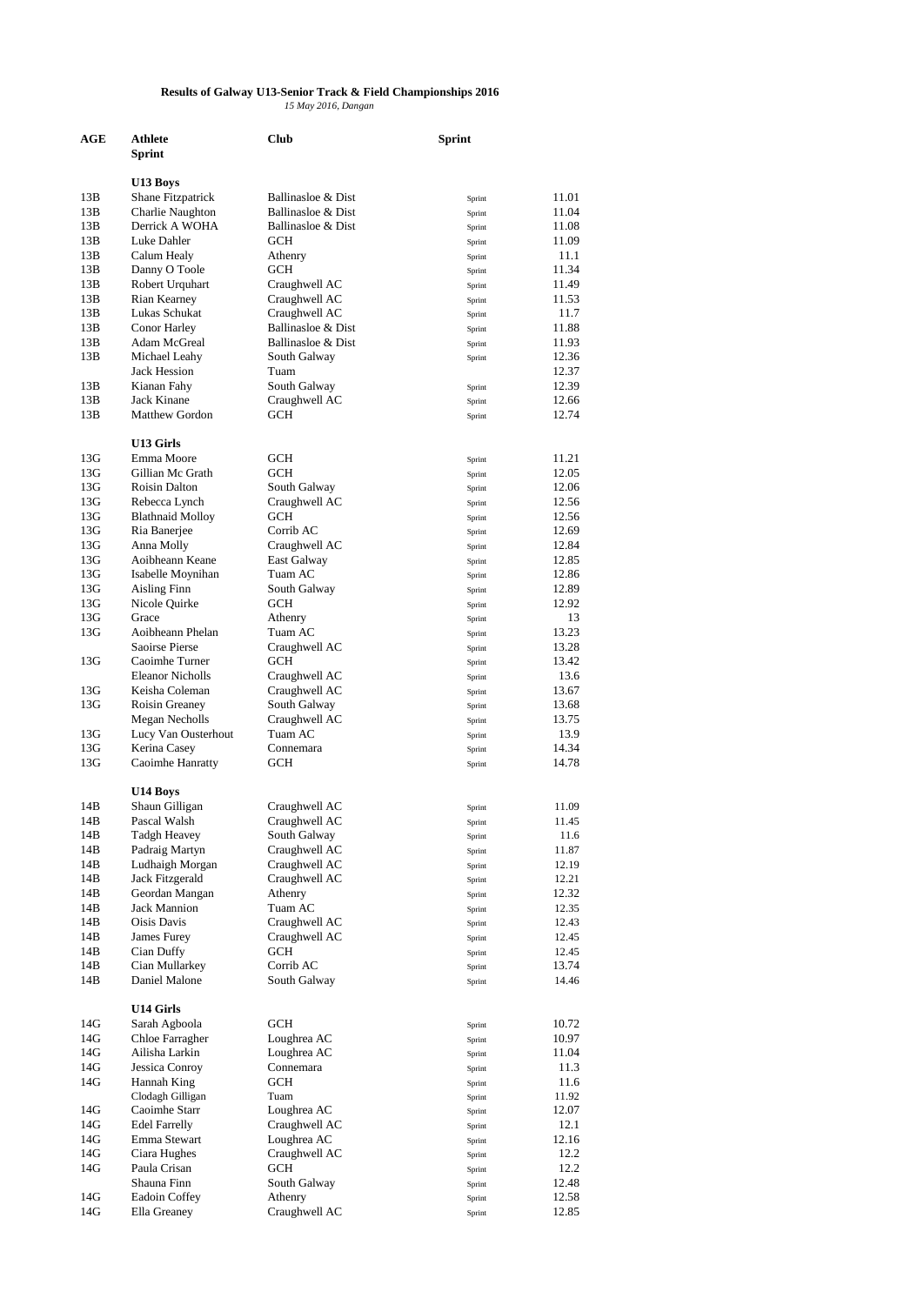## **Results of Galway U13-Senior Track & Field Championships 2016** *15 May 2016, Dangan*

| AGE        | Athlete                                   | Club                           | <b>Sprint</b>    |                |
|------------|-------------------------------------------|--------------------------------|------------------|----------------|
|            | Sprint                                    |                                |                  |                |
|            | U13 Boys                                  |                                |                  |                |
| 13B        | Shane Fitzpatrick                         | Ballinasloe & Dist             | Sprint           | 11.01          |
| 13B        | Charlie Naughton                          | Ballinasloe & Dist             | Sprint           | 11.04          |
| 13B        | Derrick A WOHA                            | Ballinasloe & Dist             | Sprint           | 11.08          |
| 13B        | Luke Dahler                               | <b>GCH</b>                     | Sprint           | 11.09          |
| 13B        | Calum Healy                               | Athenry                        | Sprint           | 11.1           |
| 13B        | Danny O Toole                             | GCH                            | Sprint           | 11.34          |
| 13B<br>13B | Robert Urquhart                           | Craughwell AC                  | Sprint           | 11.49<br>11.53 |
| 13B        | Rian Kearney<br>Lukas Schukat             | Craughwell AC<br>Craughwell AC | Sprint<br>Sprint | 11.7           |
| 13B        | Conor Harley                              | Ballinasloe & Dist             | Sprint           | 11.88          |
| 13B        | Adam McGreal                              | Ballinasloe & Dist             | Sprint           | 11.93          |
| 13B        | Michael Leahy                             | South Galway                   | Sprint           | 12.36          |
|            | <b>Jack Hession</b>                       | Tuam                           |                  | 12.37          |
| 13B        | Kianan Fahy                               | South Galway                   | Sprint           | 12.39          |
| 13B        | Jack Kinane                               | Craughwell AC                  | Sprint           | 12.66          |
| 13B        | <b>Matthew Gordon</b>                     | GCH                            | Sprint           | 12.74          |
|            |                                           |                                |                  |                |
| 13G        | U13 Girls<br>Emma Moore                   | GCH                            |                  | 11.21          |
| 13G        | Gillian Mc Grath                          | <b>GCH</b>                     | Sprint<br>Sprint | 12.05          |
| 13G        | Roisin Dalton                             | South Galway                   | Sprint           | 12.06          |
| 13G        | Rebecca Lynch                             | Craughwell AC                  | Sprint           | 12.56          |
| 13G        | <b>Blathnaid Molloy</b>                   | GCH                            | Sprint           | 12.56          |
| 13G        | Ria Banerjee                              | Corrib AC                      | Sprint           | 12.69          |
| 13G        | Anna Molly                                | Craughwell AC                  | Sprint           | 12.84          |
| 13G        | Aoibheann Keane                           | East Galway                    | Sprint           | 12.85          |
| 13G        | Isabelle Moynihan                         | Tuam AC                        | Sprint           | 12.86          |
| 13G        | Aisling Finn                              | South Galway                   | Sprint           | 12.89          |
| 13G        | Nicole Quirke                             | GCH                            | Sprint           | 12.92          |
| 13G        | Grace                                     | Athenry                        | Sprint           | 13             |
| 13G        | Aoibheann Phelan                          | Tuam AC                        | Sprint           | 13.23          |
|            | <b>Saoirse Pierse</b>                     | Craughwell AC                  | Sprint           | 13.28          |
| 13G        | Caoimhe Turner<br><b>Eleanor Nicholls</b> | GCH<br>Craughwell AC           | Sprint           | 13.42<br>13.6  |
| 13G        | Keisha Coleman                            | Craughwell AC                  | Sprint<br>Sprint | 13.67          |
| 13G        | Roisin Greaney                            | South Galway                   | Sprint           | 13.68          |
|            | Megan Necholls                            | Craughwell AC                  | Sprint           | 13.75          |
| 13G        | Lucy Van Ousterhout                       | Tuam AC                        | Sprint           | 13.9           |
| 13G        | Kerina Casey                              | Connemara                      | Sprint           | 14.34          |
| 13G        | Caoimhe Hanratty                          | GCH                            | Sprint           | 14.78          |
|            |                                           |                                |                  |                |
|            | U14 Boys                                  |                                |                  |                |
| 14B        | Shaun Gilligan                            | Craughwell AC                  | Sprint           | 11.09          |
| 14B<br>14B | Pascal Walsh<br>Tadgh Heavey              | Craughwell AC<br>South Galway  | Sprint           | 11.45<br>11.6  |
| 14B        | Padraig Martyn                            | Craughwell AC                  | Sprint<br>Sprint | 11.87          |
| 14B        | Ludhaigh Morgan                           | Craughwell AC                  | Sprint           | 12.19          |
| 14B        | Jack Fitzgerald                           | Craughwell AC                  | Sprint           | 12.21          |
| 14B        | Geordan Mangan                            | Athenry                        | Sprint           | 12.32          |
| 14B        | <b>Jack Mannion</b>                       | Tuam AC                        | Sprint           | 12.35          |
| 14B        | Oisis Davis                               | Craughwell AC                  | Sprint           | 12.43          |
| 14B        | James Furey                               | Craughwell AC                  | Sprint           | 12.45          |
| 14B        | Cian Duffy                                | GCH                            | Sprint           | 12.45          |
| 14B        | Cian Mullarkey                            | Corrib AC                      | Sprint           | 13.74          |
| 14B        | Daniel Malone                             | South Galway                   | Sprint           | 14.46          |
|            | U14 Girls                                 |                                |                  |                |
| 14G        | Sarah Agboola                             | GCH                            | Sprint           | 10.72          |
| 14G        | Chloe Farragher                           | Loughrea AC                    | Sprint           | 10.97          |
| 14G        | Ailisha Larkin                            | Loughrea AC                    | Sprint           | 11.04          |
| 14G        | Jessica Conroy                            | Connemara                      | Sprint           | 11.3           |
| 14G        | Hannah King                               | GCH                            | Sprint           | 11.6           |
|            | Clodagh Gilligan                          | Tuam                           | Sprint           | 11.92          |
| 14G        | Caoimhe Starr                             | Loughrea AC                    | Sprint           | 12.07          |
| 14G        | <b>Edel Farrelly</b>                      | Craughwell AC                  | Sprint           | 12.1           |
| 14G        | Emma Stewart                              | Loughrea AC                    | Sprint           | 12.16          |
| 14G        | Ciara Hughes                              | Craughwell AC                  | Sprint           | 12.2           |
| 14G        | Paula Crisan                              | GCH                            | Sprint           | 12.2           |
| 14G        | Shauna Finn<br>Eadoin Coffey              | South Galway<br>Athenry        | Sprint           | 12.48<br>12.58 |
| 14G        | Ella Greaney                              | Craughwell AC                  | Sprint<br>Sprint | 12.85          |
|            |                                           |                                |                  |                |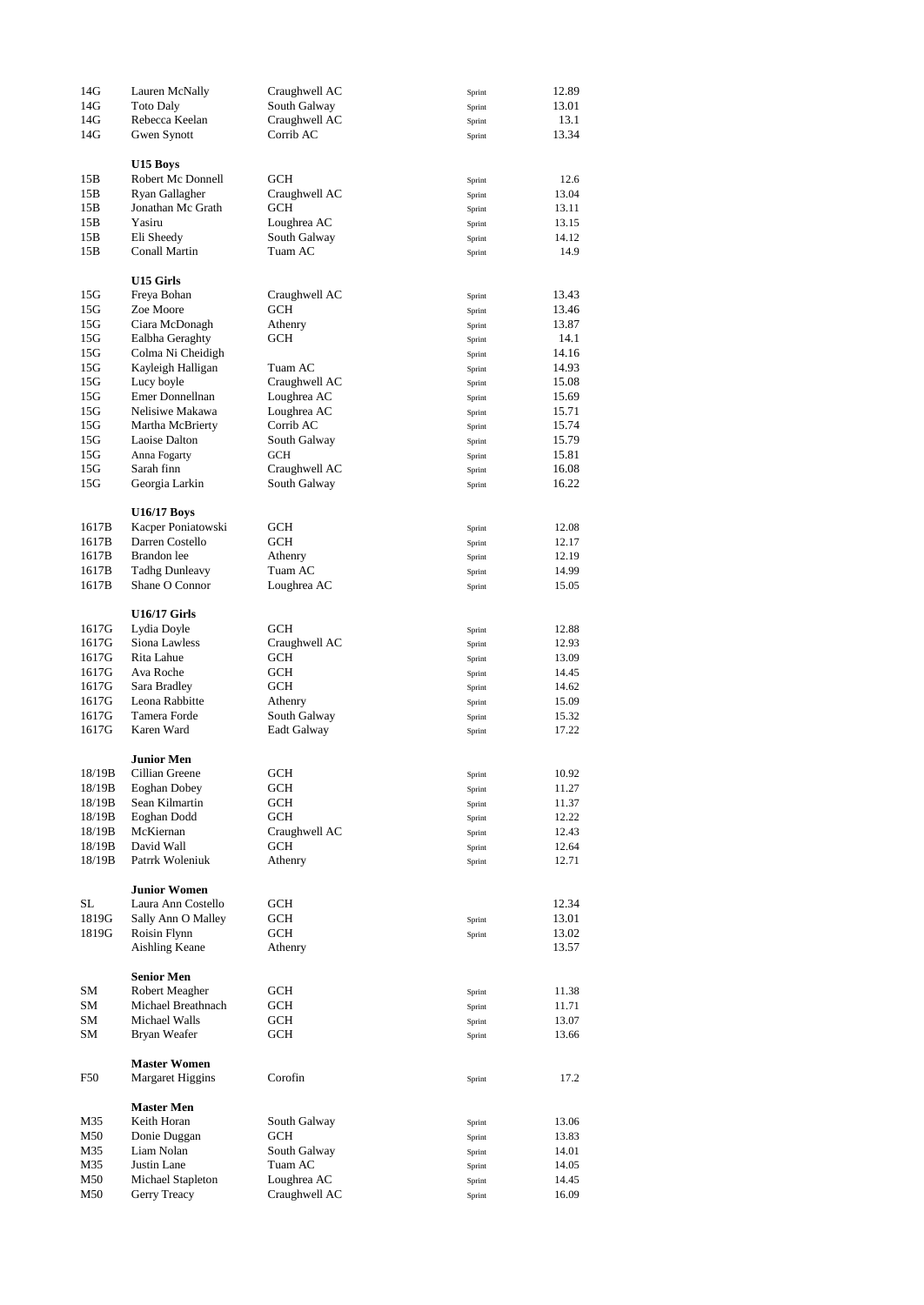| 14G    | Lauren McNally          | Craughwell AC | Sprint | 12.89 |
|--------|-------------------------|---------------|--------|-------|
| 14G    | <b>Toto Daly</b>        | South Galway  | Sprint | 13.01 |
| 14G    | Rebecca Keelan          | Craughwell AC | Sprint | 13.1  |
|        | Gwen Synott             | Corrib AC     |        |       |
| 14G    |                         |               | Sprint | 13.34 |
|        |                         |               |        |       |
|        | U15 Boys                |               |        |       |
| 15B    | Robert Mc Donnell       | GCH           | Sprint | 12.6  |
| 15B    | Ryan Gallagher          | Craughwell AC | Sprint | 13.04 |
| 15B    | Jonathan Mc Grath       | GCH           | Sprint | 13.11 |
| 15B    | Yasiru                  | Loughrea AC   | Sprint | 13.15 |
| 15B    | Eli Sheedy              | South Galway  | Sprint | 14.12 |
| 15B    | Conall Martin           | Tuam AC       | Sprint | 14.9  |
|        |                         |               |        |       |
|        |                         |               |        |       |
|        | U15 Girls               |               |        |       |
| 15G    | Freya Bohan             | Craughwell AC | Sprint | 13.43 |
| 15G    | Zoe Moore               | GCH           | Sprint | 13.46 |
| 15G    | Ciara McDonagh          | Athenry       | Sprint | 13.87 |
| 15G    | Ealbha Geraghty         | GCH           | Sprint | 14.1  |
| 15G    | Colma Ni Cheidigh       |               | Sprint | 14.16 |
| 15G    | Kayleigh Halligan       | Tuam AC       | Sprint | 14.93 |
| 15G    | Lucy boyle              | Craughwell AC | Sprint | 15.08 |
| 15G    | Emer Donnellnan         |               |        | 15.69 |
|        |                         | Loughrea AC   | Sprint |       |
| 15G    | Nelisiwe Makawa         | Loughrea AC   | Sprint | 15.71 |
| 15G    | Martha McBrierty        | Corrib AC     | Sprint | 15.74 |
| 15G    | Laoise Dalton           | South Galway  | Sprint | 15.79 |
| 15G    | Anna Fogarty            | GCH           | Sprint | 15.81 |
| 15G    | Sarah finn              | Craughwell AC | Sprint | 16.08 |
| 15G    | Georgia Larkin          | South Galway  | Sprint | 16.22 |
|        |                         |               |        |       |
|        |                         |               |        |       |
|        | <b>U16/17 Boys</b>      |               |        |       |
| 1617B  | Kacper Poniatowski      | GCH           | Sprint | 12.08 |
| 1617B  | Darren Costello         | GCH           | Sprint | 12.17 |
| 1617B  | Brandon lee             | Athenry       | Sprint | 12.19 |
| 1617B  | <b>Tadhg Dunleavy</b>   | Tuam AC       | Sprint | 14.99 |
| 1617B  | Shane O Connor          | Loughrea AC   | Sprint | 15.05 |
|        |                         |               |        |       |
|        | <b>U16/17 Girls</b>     |               |        |       |
|        |                         |               |        |       |
| 1617G  | Lydia Doyle             | GCH           | Sprint | 12.88 |
| 1617G  | Siona Lawless           | Craughwell AC | Sprint | 12.93 |
| 1617G  | Rita Lahue              | GCH           | Sprint | 13.09 |
| 1617G  | Ava Roche               | GCH           | Sprint | 14.45 |
| 1617G  | Sara Bradley            | GCH           | Sprint | 14.62 |
| 1617G  | Leona Rabbitte          | Athenry       | Sprint | 15.09 |
| 1617G  | Tamera Forde            | South Galway  | Sprint | 15.32 |
| 1617G  | Karen Ward              | Eadt Galway   |        | 17.22 |
|        |                         |               | Sprint |       |
|        |                         |               |        |       |
|        | Junior Men              |               |        |       |
| 18/19B | Cillian Greene          | GCH           | Sprint | 10.92 |
| 18/19B | Eoghan Dobey            | GCH           | Sprint | 11.27 |
| 18/19B | Sean Kilmartin          | GCH           | Sprint | 11.37 |
| 18/19B | Eoghan Dodd             | GCH           | Sprint | 12.22 |
| 18/19B | McKiernan               | Craughwell AC | Sprint | 12.43 |
| 18/19B | David Wall              | GCH           | Sprint | 12.64 |
| 18/19B | Patrrk Woleniuk         | Athenry       | Sprint | 12.71 |
|        |                         |               |        |       |
|        | <b>Junior Women</b>     |               |        |       |
|        |                         |               |        |       |
| SL     | Laura Ann Costello      | GCH           |        | 12.34 |
| 1819G  | Sally Ann O Malley      | GCH           | Sprint | 13.01 |
| 1819G  | Roisin Flynn            | GCH           | Sprint | 13.02 |
|        | <b>Aishling Keane</b>   | Athenry       |        | 13.57 |
|        |                         |               |        |       |
|        | <b>Senior Men</b>       |               |        |       |
| SM     | Robert Meagher          | GCH           | Sprint | 11.38 |
| SM     | Michael Breathnach      | GCH           | Sprint | 11.71 |
|        | Michael Walls           |               |        |       |
| SΜ     |                         | GCH           | Sprint | 13.07 |
| SΜ     | Bryan Weafer            | GCH           | Sprint | 13.66 |
|        |                         |               |        |       |
|        | <b>Master Women</b>     |               |        |       |
| F50    | <b>Margaret Higgins</b> | Corofin       | Sprint | 17.2  |
|        |                         |               |        |       |
|        | <b>Master Men</b>       |               |        |       |
| M35    | Keith Horan             | South Galway  | Sprint | 13.06 |
| M50    | Donie Duggan            | GCH           | Sprint | 13.83 |
| M35    | Liam Nolan              | South Galway  |        | 14.01 |
|        |                         |               | Sprint |       |
| M35    | Justin Lane             | Tuam AC       | Sprint | 14.05 |
| M50    | Michael Stapleton       | Loughrea AC   | Sprint | 14.45 |
| M50    | Gerry Treacy            | Craughwell AC | Sprint | 16.09 |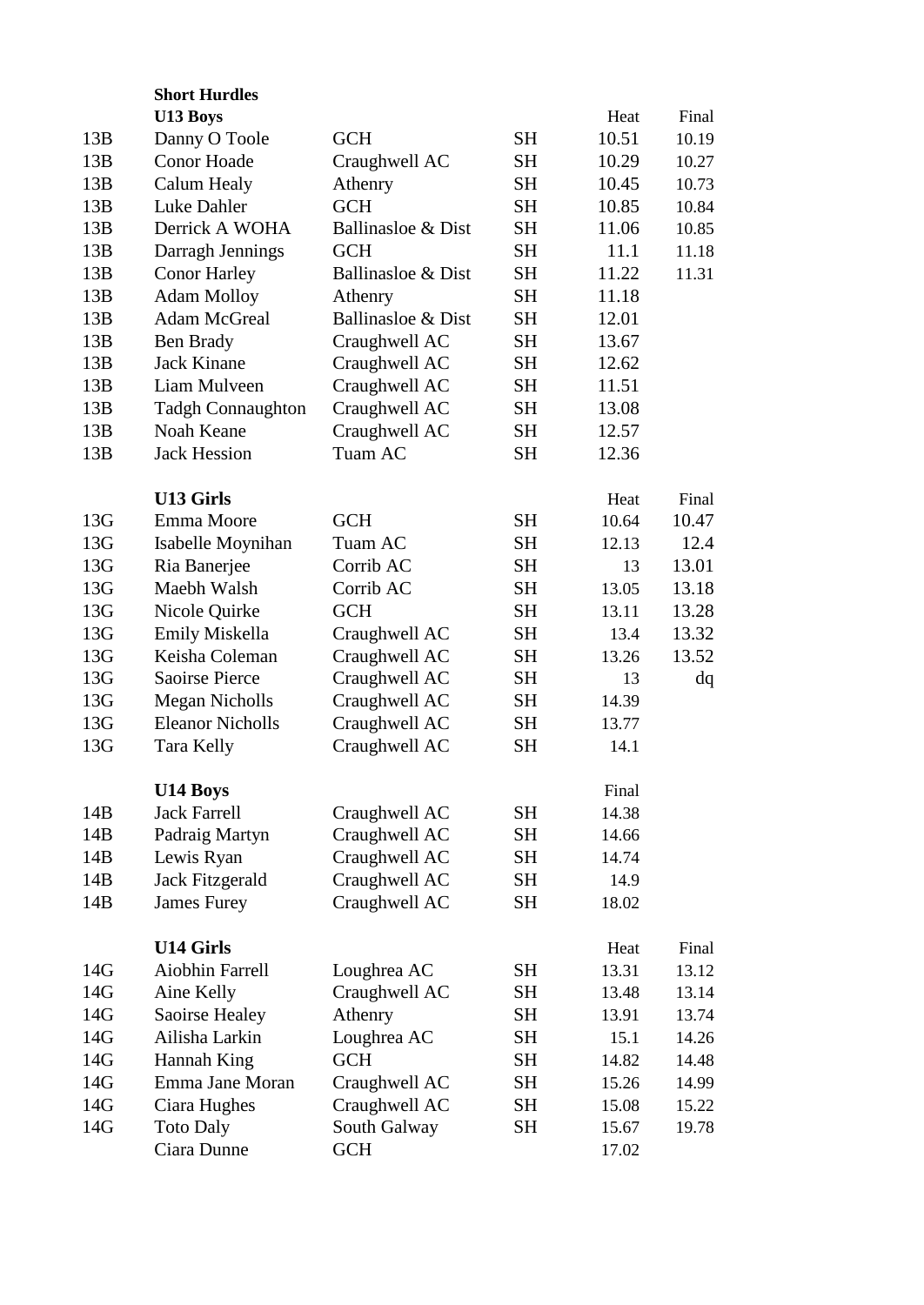|     | <b>Short Hurdles</b>     |                    |           |       |       |  |
|-----|--------------------------|--------------------|-----------|-------|-------|--|
|     | U13 Boys                 |                    |           | Heat  | Final |  |
| 13B | Danny O Toole            | <b>GCH</b>         | <b>SH</b> | 10.51 | 10.19 |  |
| 13B | <b>Conor Hoade</b>       | Craughwell AC      | <b>SH</b> | 10.29 | 10.27 |  |
| 13B | Calum Healy              | Athenry            | <b>SH</b> | 10.45 | 10.73 |  |
| 13B | Luke Dahler              | <b>GCH</b>         | <b>SH</b> | 10.85 | 10.84 |  |
| 13B | Derrick A WOHA           | Ballinasloe & Dist | <b>SH</b> | 11.06 | 10.85 |  |
| 13B | Darragh Jennings         | <b>GCH</b>         | <b>SH</b> | 11.1  | 11.18 |  |
| 13B | <b>Conor Harley</b>      | Ballinasloe & Dist | <b>SH</b> | 11.22 | 11.31 |  |
| 13B | <b>Adam Molloy</b>       | Athenry            | <b>SH</b> | 11.18 |       |  |
| 13B | <b>Adam McGreal</b>      | Ballinasloe & Dist | SH        | 12.01 |       |  |
| 13B | Ben Brady                | Craughwell AC      | <b>SH</b> | 13.67 |       |  |
| 13B | <b>Jack Kinane</b>       | Craughwell AC      | SH        | 12.62 |       |  |
| 13B | Liam Mulveen             | Craughwell AC      | <b>SH</b> | 11.51 |       |  |
| 13B | <b>Tadgh Connaughton</b> | Craughwell AC      | <b>SH</b> | 13.08 |       |  |
| 13B | Noah Keane               | Craughwell AC      | <b>SH</b> | 12.57 |       |  |
| 13B | <b>Jack Hession</b>      | Tuam AC            | <b>SH</b> | 12.36 |       |  |
|     |                          |                    |           |       |       |  |
|     | <b>U13 Girls</b>         |                    |           | Heat  | Final |  |
| 13G | Emma Moore               | <b>GCH</b>         | <b>SH</b> | 10.64 | 10.47 |  |
| 13G | Isabelle Moynihan        | Tuam AC            | <b>SH</b> | 12.13 | 12.4  |  |
| 13G | Ria Banerjee             | Corrib AC          | <b>SH</b> | 13    | 13.01 |  |
| 13G | Maebh Walsh              | Corrib AC          | <b>SH</b> | 13.05 | 13.18 |  |
| 13G | Nicole Quirke            | <b>GCH</b>         | <b>SH</b> | 13.11 | 13.28 |  |
| 13G | Emily Miskella           | Craughwell AC      | <b>SH</b> | 13.4  | 13.32 |  |
| 13G | Keisha Coleman           | Craughwell AC      | <b>SH</b> | 13.26 | 13.52 |  |
| 13G | <b>Saoirse Pierce</b>    | Craughwell AC      | <b>SH</b> | 13    | dq    |  |
| 13G | Megan Nicholls           | Craughwell AC      | <b>SH</b> | 14.39 |       |  |
| 13G | <b>Eleanor Nicholls</b>  | Craughwell AC      | <b>SH</b> | 13.77 |       |  |
| 13G | <b>Tara Kelly</b>        | Craughwell AC      | <b>SH</b> | 14.1  |       |  |
|     |                          |                    |           |       |       |  |
|     | <b>U14 Boys</b>          |                    |           | Final |       |  |
| 14B | <b>Jack Farrell</b>      | Craughwell AC      | <b>SH</b> | 14.38 |       |  |
| 14B | Padraig Martyn           | Craughwell AC      | SH        | 14.66 |       |  |
| 14B | Lewis Ryan               | Craughwell AC      | SH        | 14.74 |       |  |
| 14B | Jack Fitzgerald          | Craughwell AC      | <b>SH</b> | 14.9  |       |  |
| 14B | <b>James Furey</b>       | Craughwell AC      | <b>SH</b> | 18.02 |       |  |
|     |                          |                    |           |       |       |  |
|     | <b>U14 Girls</b>         |                    |           | Heat  | Final |  |
| 14G | Aiobhin Farrell          | Loughrea AC        | <b>SH</b> | 13.31 | 13.12 |  |
| 14G | Aine Kelly               | Craughwell AC      | SH        | 13.48 | 13.14 |  |
| 14G | Saoirse Healey           | Athenry            | <b>SH</b> | 13.91 | 13.74 |  |
| 14G | Ailisha Larkin           | Loughrea AC        | <b>SH</b> | 15.1  | 14.26 |  |
| 14G | Hannah King              | <b>GCH</b>         | <b>SH</b> | 14.82 | 14.48 |  |
| 14G | Emma Jane Moran          | Craughwell AC      | <b>SH</b> | 15.26 | 14.99 |  |
| 14G | Ciara Hughes             | Craughwell AC      | SH        | 15.08 | 15.22 |  |
| 14G | <b>Toto Daly</b>         | South Galway       | SH        | 15.67 | 19.78 |  |
|     | Ciara Dunne              | <b>GCH</b>         |           | 17.02 |       |  |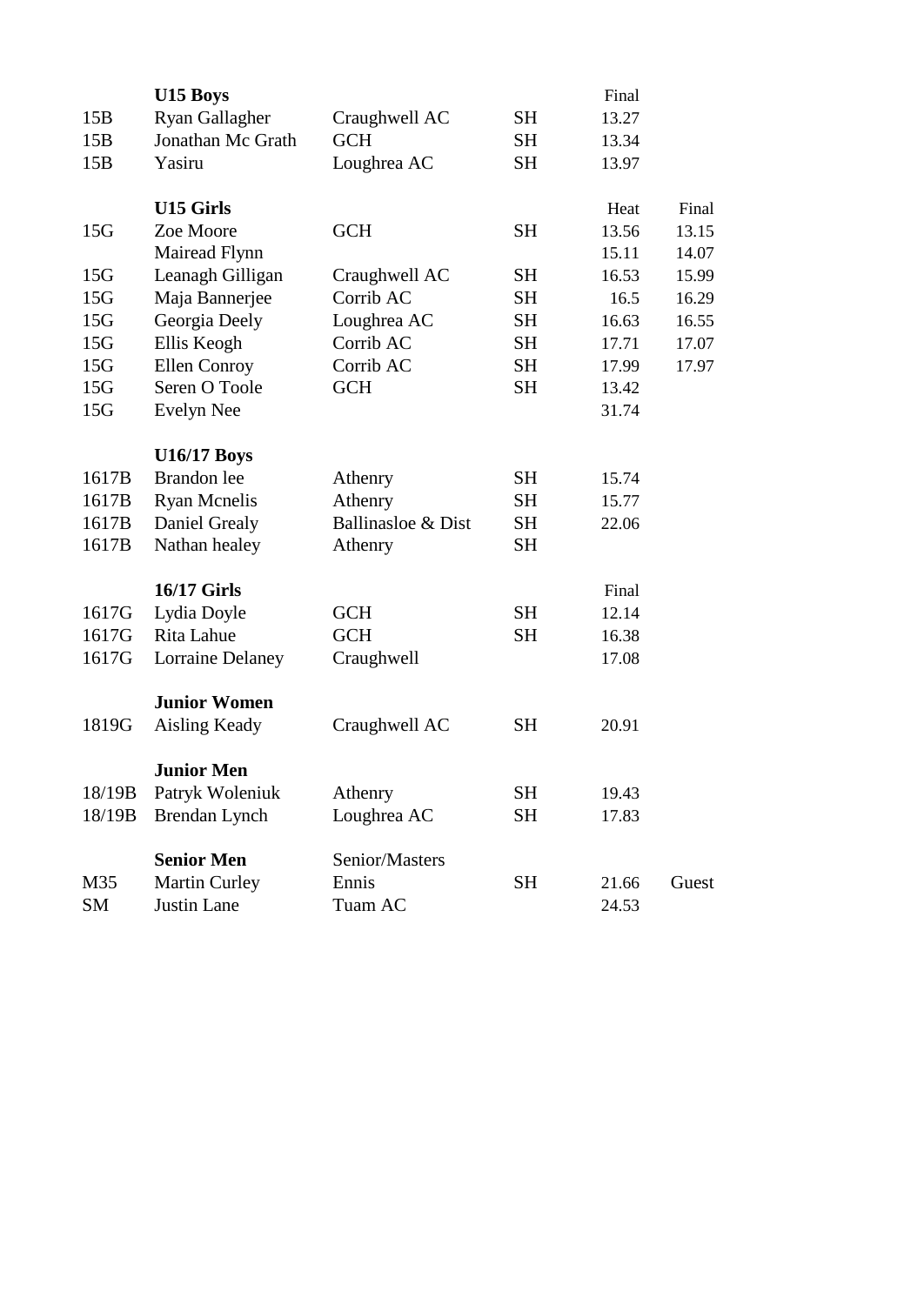|                 | U15 Boys                 |                    |           | Final |       |
|-----------------|--------------------------|--------------------|-----------|-------|-------|
| 15B             | Ryan Gallagher           | Craughwell AC      | <b>SH</b> | 13.27 |       |
| 15B             | <b>Jonathan Mc Grath</b> | <b>GCH</b>         | <b>SH</b> | 13.34 |       |
| 15B             | Yasiru                   | Loughrea AC        | <b>SH</b> | 13.97 |       |
|                 | <b>U15 Girls</b>         |                    |           | Heat  | Final |
| 15G             | Zoe Moore                | <b>GCH</b>         | <b>SH</b> | 13.56 | 13.15 |
|                 | Mairead Flynn            |                    |           | 15.11 | 14.07 |
| 15 <sub>G</sub> | Leanagh Gilligan         | Craughwell AC      | <b>SH</b> | 16.53 | 15.99 |
| 15G             | Maja Bannerjee           | Corrib AC          | <b>SH</b> | 16.5  | 16.29 |
| 15G             | Georgia Deely            | Loughrea AC        | SH        | 16.63 | 16.55 |
| 15G             | Ellis Keogh              | Corrib AC          | <b>SH</b> | 17.71 | 17.07 |
| 15G             | Ellen Conroy             | Corrib AC          | <b>SH</b> | 17.99 | 17.97 |
| 15G             | Seren O Toole            | <b>GCH</b>         | <b>SH</b> | 13.42 |       |
| 15G             | Evelyn Nee               |                    |           | 31.74 |       |
|                 |                          |                    |           |       |       |
|                 | <b>U16/17 Boys</b>       |                    |           |       |       |
| 1617B           | Brandon lee              | Athenry            | <b>SH</b> | 15.74 |       |
| 1617B           | <b>Ryan Mcnelis</b>      | Athenry            | <b>SH</b> | 15.77 |       |
| 1617B           | Daniel Grealy            | Ballinasloe & Dist | SH        | 22.06 |       |
| 1617B           | Nathan healey            | Athenry            | SH        |       |       |
|                 | <b>16/17 Girls</b>       |                    |           | Final |       |
| 1617G           | Lydia Doyle              | <b>GCH</b>         | <b>SH</b> | 12.14 |       |
| 1617G           | Rita Lahue               | <b>GCH</b>         | <b>SH</b> | 16.38 |       |
| 1617G           | Lorraine Delaney         | Craughwell         |           | 17.08 |       |
|                 |                          |                    |           |       |       |
|                 | <b>Junior Women</b>      |                    |           |       |       |
| 1819G           | <b>Aisling Keady</b>     | Craughwell AC      | <b>SH</b> | 20.91 |       |
|                 | <b>Junior Men</b>        |                    |           |       |       |
| 18/19B          | Patryk Woleniuk          | Athenry            | SH        | 19.43 |       |
| 18/19B          | Brendan Lynch            | Loughrea AC        | <b>SH</b> | 17.83 |       |
|                 |                          |                    |           |       |       |
|                 | <b>Senior Men</b>        | Senior/Masters     |           |       |       |
| M35             | <b>Martin Curley</b>     | Ennis              | <b>SH</b> | 21.66 | Guest |
| SM              | Justin Lane              | Tuam AC            |           | 24.53 |       |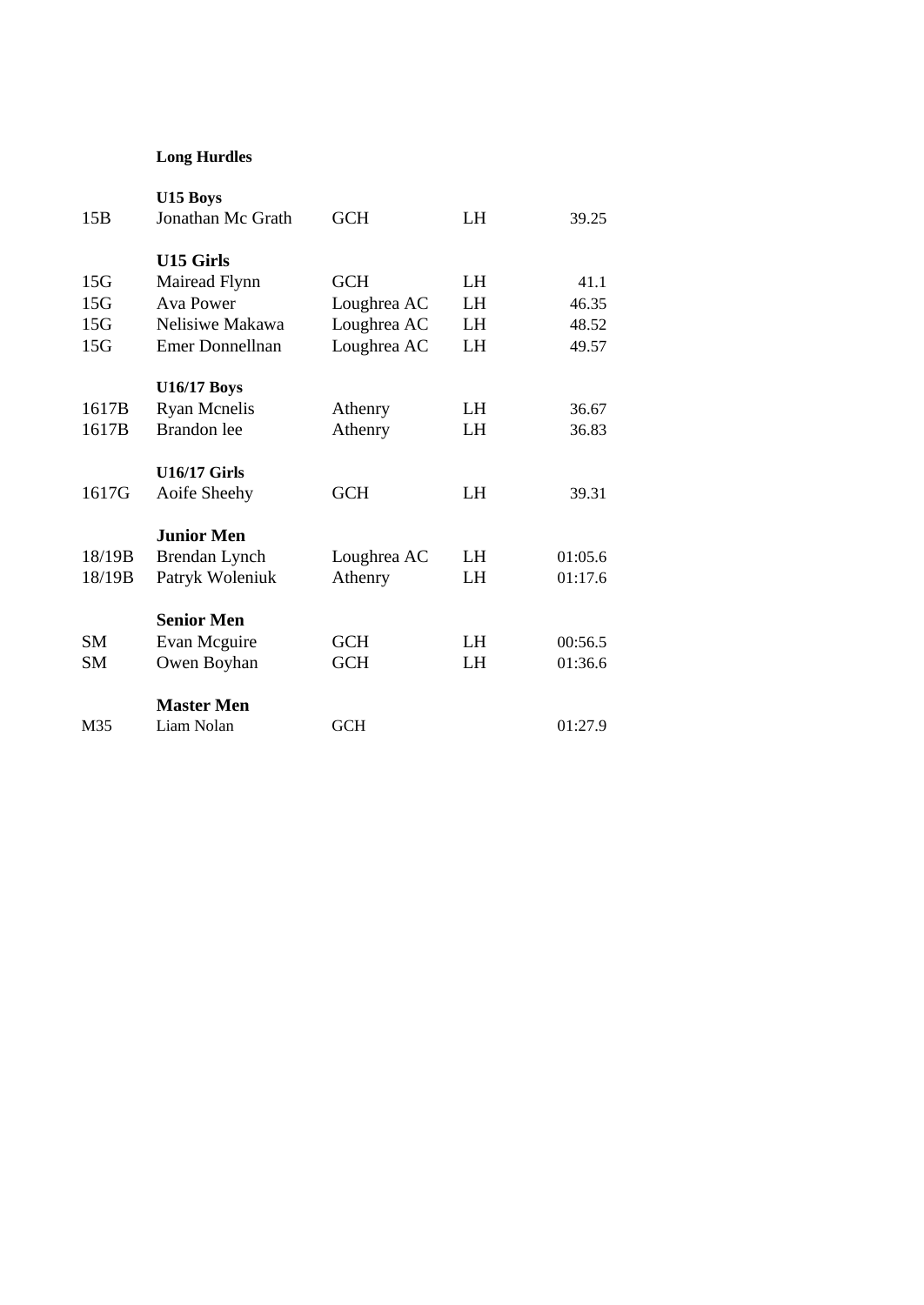## **Long Hurdles**

| M35                      | <b>Master Men</b><br>Liam Nolan                                                             | <b>GCH</b>                                              |                      | 01:27.9                         |
|--------------------------|---------------------------------------------------------------------------------------------|---------------------------------------------------------|----------------------|---------------------------------|
| <b>SM</b><br><b>SM</b>   | <b>Senior Men</b><br>Evan Mcguire<br>Owen Boyhan                                            | <b>GCH</b><br><b>GCH</b>                                | LH<br>LH             | 00:56.5<br>01:36.6              |
| 18/19B<br>18/19B         | <b>Junior Men</b><br>Brendan Lynch<br>Patryk Woleniuk                                       | Loughrea AC<br>Athenry                                  | LH<br>LH             | 01:05.6<br>01:17.6              |
| 1617G                    | <b>U16/17 Girls</b><br>Aoife Sheehy                                                         | <b>GCH</b>                                              | LH                   | 39.31                           |
| 1617B<br>1617B           | <b>U16/17 Boys</b><br><b>Ryan Mcnelis</b><br><b>Brandon</b> lee                             | Athenry<br>Athenry                                      | LH<br>LH             | 36.67<br>36.83                  |
| 15G<br>15G<br>15G<br>15G | <b>U15 Girls</b><br>Mairead Flynn<br><b>Ava Power</b><br>Nelisiwe Makawa<br>Emer Donnellnan | <b>GCH</b><br>Loughrea AC<br>Loughrea AC<br>Loughrea AC | LH<br>LH<br>LH<br>LH | 41.1<br>46.35<br>48.52<br>49.57 |
| 15B                      | U15 Boys<br>Jonathan Mc Grath                                                               | <b>GCH</b>                                              | LH                   | 39.25                           |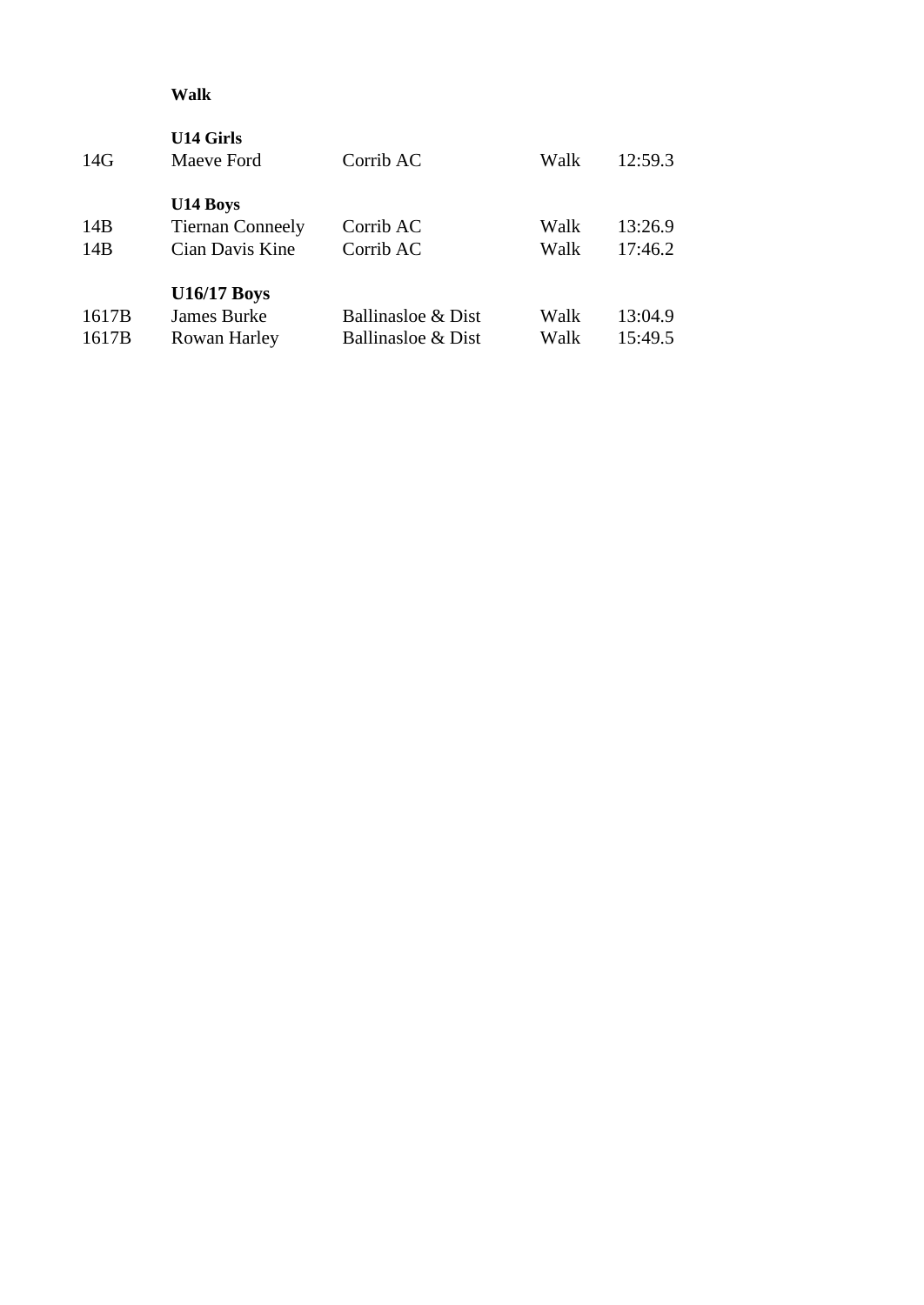## **Walk**

| <b>U14 Girls</b><br>Maeve Ford | Corrib AC          | Walk | 12:59.3 |
|--------------------------------|--------------------|------|---------|
| U14 Boys                       |                    |      |         |
| <b>Tiernan Conneely</b>        | Corrib AC          | Walk | 13:26.9 |
| Cian Davis Kine                | Corrib AC          | Walk | 17:46.2 |
| <b>U16/17 Boys</b>             |                    |      |         |
| <b>James Burke</b>             | Ballinasloe & Dist | Walk | 13:04.9 |
| Rowan Harley                   | Ballinasloe & Dist | Walk | 15:49.5 |
|                                |                    |      |         |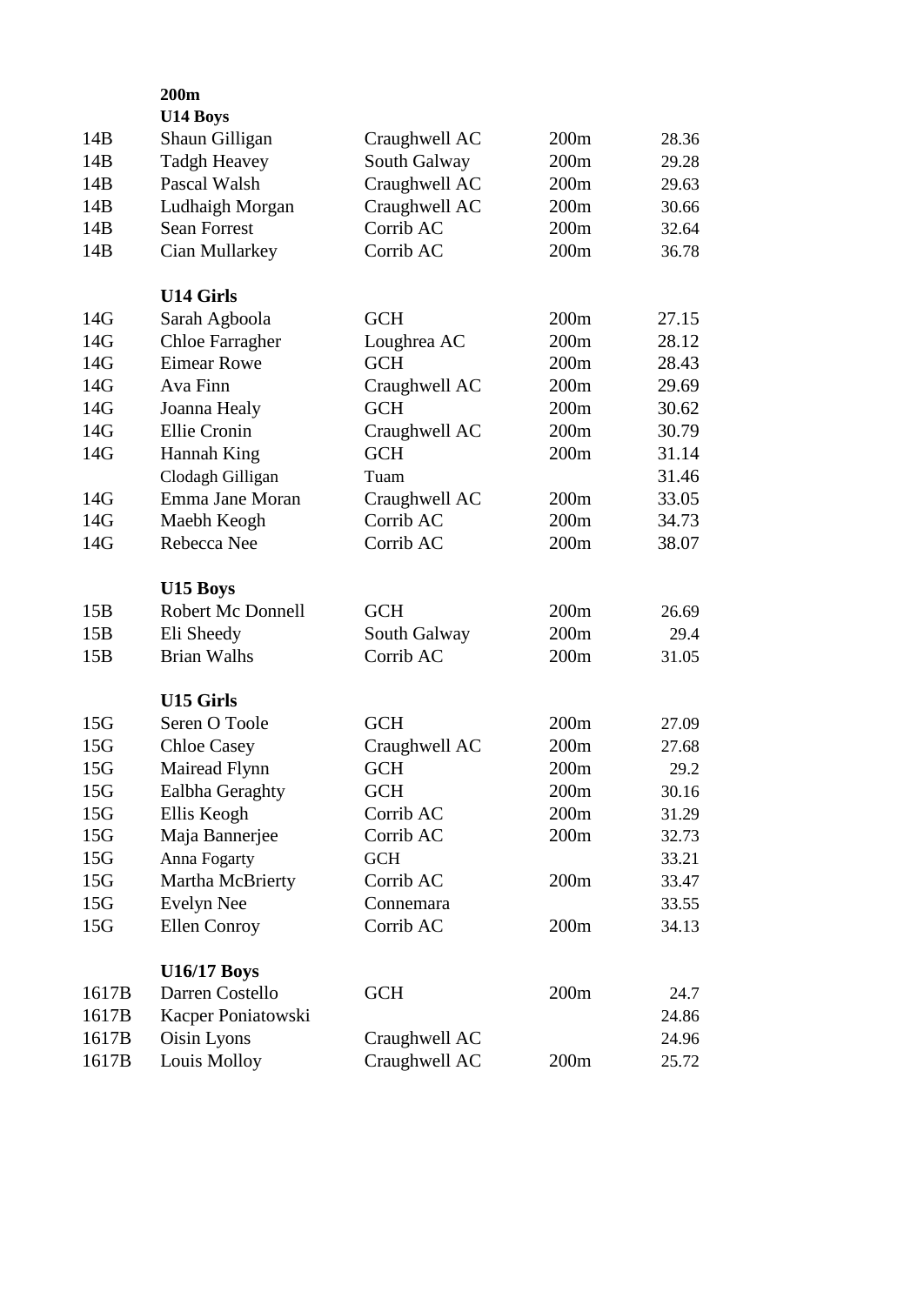|                 | 200m<br><b>U14 Boys</b>  |               |      |       |
|-----------------|--------------------------|---------------|------|-------|
| 14B             | Shaun Gilligan           | Craughwell AC | 200m | 28.36 |
| 14B             | <b>Tadgh Heavey</b>      | South Galway  | 200m | 29.28 |
| 14B             | Pascal Walsh             | Craughwell AC | 200m | 29.63 |
| 14B             | Ludhaigh Morgan          | Craughwell AC | 200m | 30.66 |
| 14B             | <b>Sean Forrest</b>      | Corrib AC     | 200m | 32.64 |
| 14B             | Cian Mullarkey           | Corrib AC     | 200m | 36.78 |
|                 |                          |               |      |       |
|                 | <b>U14 Girls</b>         |               |      |       |
| 14G             | Sarah Agboola            | <b>GCH</b>    | 200m | 27.15 |
| 14G             | <b>Chloe Farragher</b>   | Loughrea AC   | 200m | 28.12 |
| 14G             | <b>Eimear Rowe</b>       | <b>GCH</b>    | 200m | 28.43 |
| 14G             | Ava Finn                 | Craughwell AC | 200m | 29.69 |
| 14G             | Joanna Healy             | <b>GCH</b>    | 200m | 30.62 |
| 14G             | Ellie Cronin             | Craughwell AC | 200m | 30.79 |
| 14G             | Hannah King              | <b>GCH</b>    | 200m | 31.14 |
|                 | Clodagh Gilligan         | Tuam          |      | 31.46 |
| 14G             | Emma Jane Moran          | Craughwell AC | 200m | 33.05 |
| 14G             | Maebh Keogh              | Corrib AC     | 200m | 34.73 |
| 14G             | Rebecca Nee              | Corrib AC     | 200m | 38.07 |
|                 | U15 Boys                 |               |      |       |
| 15B             | <b>Robert Mc Donnell</b> | <b>GCH</b>    | 200m | 26.69 |
| 15B             | Eli Sheedy               | South Galway  | 200m | 29.4  |
| 15B             | <b>Brian Walhs</b>       | Corrib AC     | 200m | 31.05 |
|                 | <b>U15 Girls</b>         |               |      |       |
| 15G             | Seren O Toole            | <b>GCH</b>    | 200m | 27.09 |
| 15G             | <b>Chloe Casey</b>       | Craughwell AC | 200m | 27.68 |
| 15G             | Mairead Flynn            | <b>GCH</b>    | 200m | 29.2  |
| 15G             | Ealbha Geraghty          | <b>GCH</b>    | 200m | 30.16 |
| 15G             | Ellis Keogh              | Corrib AC     | 200m | 31.29 |
| 15G             | Maja Bannerjee           | Corrib AC     | 200m | 32.73 |
| 15G             | Anna Fogarty             | <b>GCH</b>    |      | 33.21 |
| 15G             | Martha McBrierty         | Corrib AC     | 200m | 33.47 |
| 15 <sub>G</sub> | <b>Evelyn Nee</b>        | Connemara     |      | 33.55 |
| 15 <sub>G</sub> | <b>Ellen Conroy</b>      | Corrib AC     | 200m | 34.13 |
|                 |                          |               |      |       |
|                 | <b>U16/17 Boys</b>       |               |      |       |
| 1617B           | Darren Costello          | <b>GCH</b>    | 200m | 24.7  |
| 1617B           | Kacper Poniatowski       |               |      | 24.86 |
| 1617B           | Oisin Lyons              | Craughwell AC |      | 24.96 |
| 1617B           | Louis Molloy             | Craughwell AC | 200m | 25.72 |
|                 |                          |               |      |       |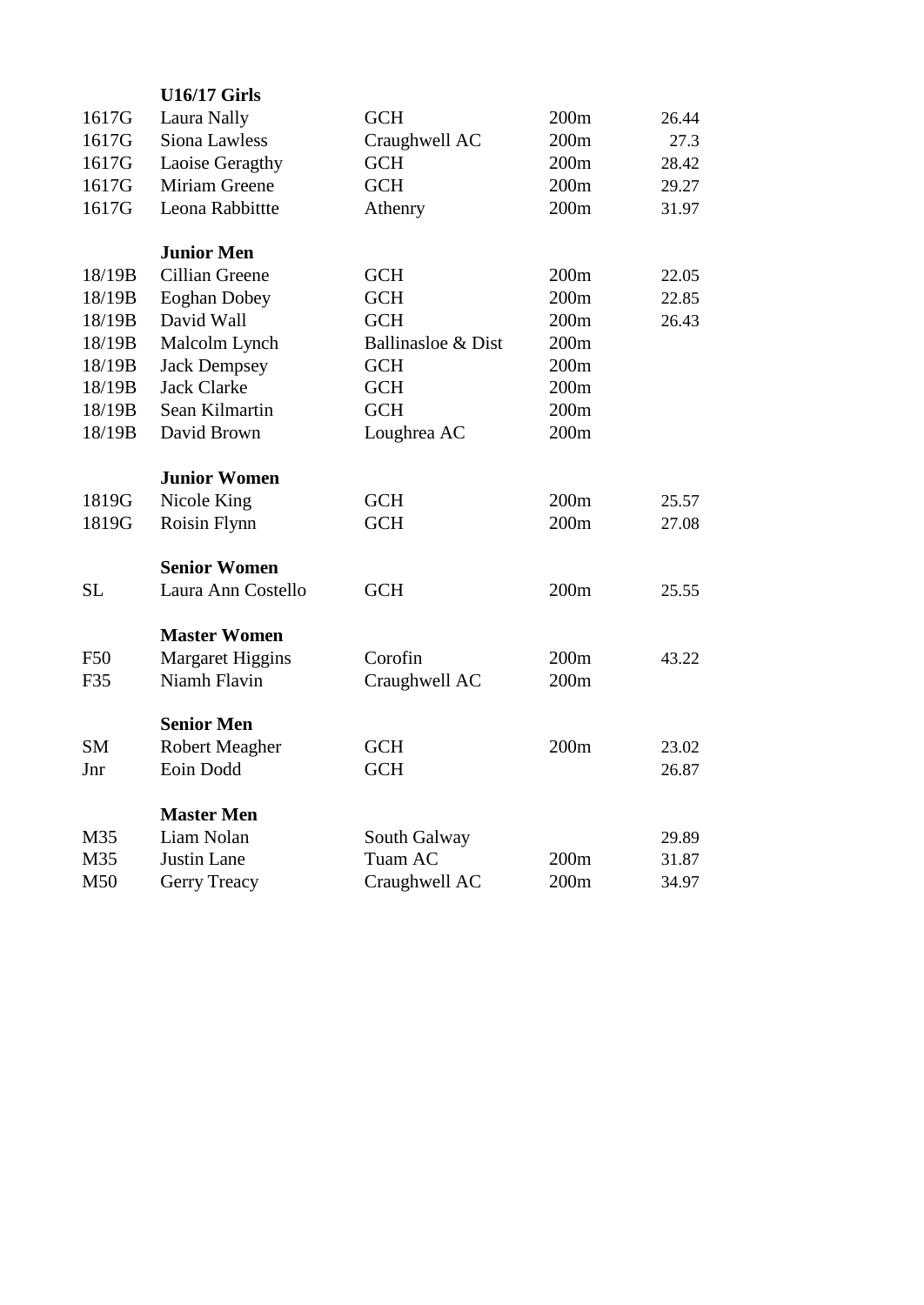|            | <b>U16/17 Girls</b>     |                    |      |       |
|------------|-------------------------|--------------------|------|-------|
| 1617G      | Laura Nally             | <b>GCH</b>         | 200m | 26.44 |
| 1617G      | Siona Lawless           | Craughwell AC      | 200m | 27.3  |
| 1617G      | Laoise Geragthy         | <b>GCH</b>         | 200m | 28.42 |
| 1617G      | Miriam Greene           | <b>GCH</b>         | 200m | 29.27 |
| 1617G      | Leona Rabbittte         | Athenry            | 200m | 31.97 |
|            |                         |                    |      |       |
|            | <b>Junior Men</b>       |                    |      |       |
| 18/19B     | Cillian Greene          | <b>GCH</b>         | 200m | 22.05 |
| 18/19B     | <b>Eoghan Dobey</b>     | <b>GCH</b>         | 200m | 22.85 |
| 18/19B     | David Wall              | <b>GCH</b>         | 200m | 26.43 |
| 18/19B     | Malcolm Lynch           | Ballinasloe & Dist | 200m |       |
| 18/19B     | <b>Jack Dempsey</b>     | <b>GCH</b>         | 200m |       |
| 18/19B     | <b>Jack Clarke</b>      | <b>GCH</b>         | 200m |       |
| 18/19B     | Sean Kilmartin          | <b>GCH</b>         | 200m |       |
| 18/19B     | David Brown             | Loughrea AC        | 200m |       |
|            |                         |                    |      |       |
|            | <b>Junior Women</b>     |                    |      |       |
| 1819G      | Nicole King             | <b>GCH</b>         | 200m | 25.57 |
| 1819G      | Roisin Flynn            | <b>GCH</b>         | 200m | 27.08 |
|            |                         |                    |      |       |
|            | <b>Senior Women</b>     |                    |      |       |
| <b>SL</b>  | Laura Ann Costello      | <b>GCH</b>         | 200m | 25.55 |
|            |                         |                    |      |       |
|            | <b>Master Women</b>     |                    |      |       |
| <b>F50</b> | <b>Margaret Higgins</b> | Corofin            | 200m | 43.22 |
| F35        | Niamh Flavin            | Craughwell AC      | 200m |       |
|            |                         |                    |      |       |
|            | <b>Senior Men</b>       |                    |      |       |
| <b>SM</b>  | <b>Robert Meagher</b>   | <b>GCH</b>         | 200m | 23.02 |
| Jnr        | Eoin Dodd               | <b>GCH</b>         |      | 26.87 |
|            |                         |                    |      |       |
|            | <b>Master Men</b>       |                    |      |       |
| M35        | Liam Nolan              | South Galway       |      | 29.89 |
| M35        | <b>Justin Lane</b>      | Tuam AC            | 200m | 31.87 |
| M50        | Gerry Treacy            | Craughwell AC      | 200m | 34.97 |
|            |                         |                    |      |       |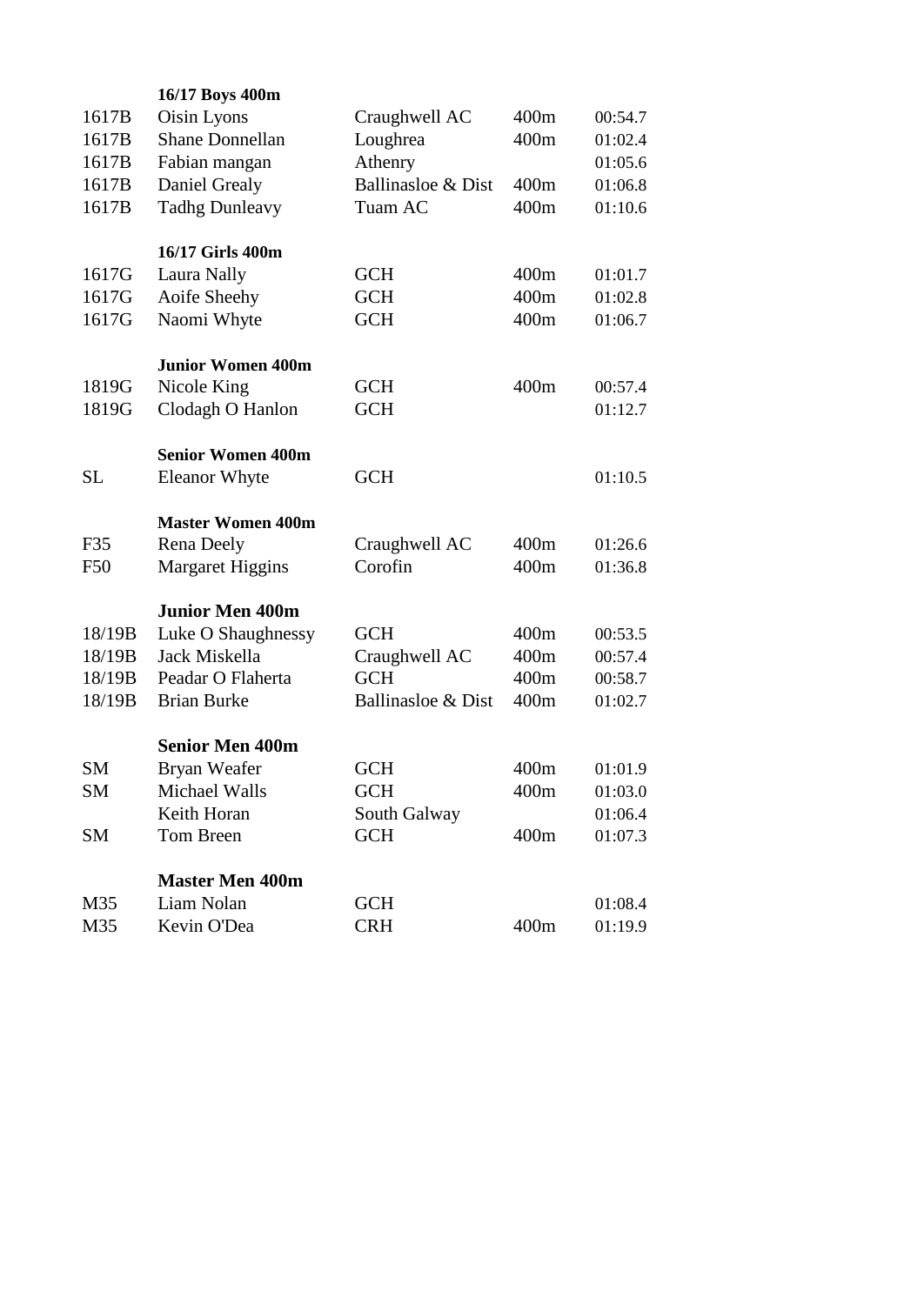|           | 16/17 Boys 400m                 |                    |      |         |  |
|-----------|---------------------------------|--------------------|------|---------|--|
| 1617B     | Oisin Lyons                     | Craughwell AC      | 400m | 00:54.7 |  |
| 1617B     | <b>Shane Donnellan</b>          | Loughrea           | 400m | 01:02.4 |  |
| 1617B     | Fabian mangan                   | Athenry            |      | 01:05.6 |  |
| 1617B     | Daniel Grealy                   | Ballinasloe & Dist | 400m | 01:06.8 |  |
| 1617B     | <b>Tadhg Dunleavy</b>           | Tuam AC            | 400m | 01:10.6 |  |
|           |                                 |                    |      |         |  |
| 1617G     | 16/17 Girls 400m<br>Laura Nally | <b>GCH</b>         | 400m | 01:01.7 |  |
| 1617G     | Aoife Sheehy                    | <b>GCH</b>         | 400m | 01:02.8 |  |
| 1617G     | Naomi Whyte                     | <b>GCH</b>         | 400m | 01:06.7 |  |
|           |                                 |                    |      |         |  |
|           | <b>Junior Women 400m</b>        |                    |      |         |  |
| 1819G     | Nicole King                     | <b>GCH</b>         | 400m | 00:57.4 |  |
| 1819G     | Clodagh O Hanlon                | <b>GCH</b>         |      | 01:12.7 |  |
|           | <b>Senior Women 400m</b>        |                    |      |         |  |
| <b>SL</b> | <b>Eleanor Whyte</b>            | <b>GCH</b>         |      | 01:10.5 |  |
|           |                                 |                    |      |         |  |
|           | <b>Master Women 400m</b>        |                    |      |         |  |
| F35       | Rena Deely                      | Craughwell AC      | 400m | 01:26.6 |  |
| F50       | <b>Margaret Higgins</b>         | Corofin            | 400m | 01:36.8 |  |
|           | <b>Junior Men 400m</b>          |                    |      |         |  |
| 18/19B    | Luke O Shaughnessy              | <b>GCH</b>         | 400m | 00:53.5 |  |
| 18/19B    | Jack Miskella                   | Craughwell AC      | 400m | 00:57.4 |  |
| 18/19B    | Peadar O Flaherta               | <b>GCH</b>         | 400m | 00:58.7 |  |
| 18/19B    | <b>Brian Burke</b>              | Ballinasloe & Dist | 400m | 01:02.7 |  |
|           | <b>Senior Men 400m</b>          |                    |      |         |  |
| <b>SM</b> | Bryan Weafer                    | <b>GCH</b>         | 400m | 01:01.9 |  |
| <b>SM</b> | Michael Walls                   | <b>GCH</b>         | 400m | 01:03.0 |  |
|           | Keith Horan                     | South Galway       |      | 01:06.4 |  |
| <b>SM</b> | Tom Breen                       | <b>GCH</b>         | 400m | 01:07.3 |  |
|           |                                 |                    |      |         |  |
|           | <b>Master Men 400m</b>          |                    |      |         |  |
| M35       | Liam Nolan                      | <b>GCH</b>         |      | 01:08.4 |  |
| M35       | Kevin O'Dea                     | <b>CRH</b>         | 400m | 01:19.9 |  |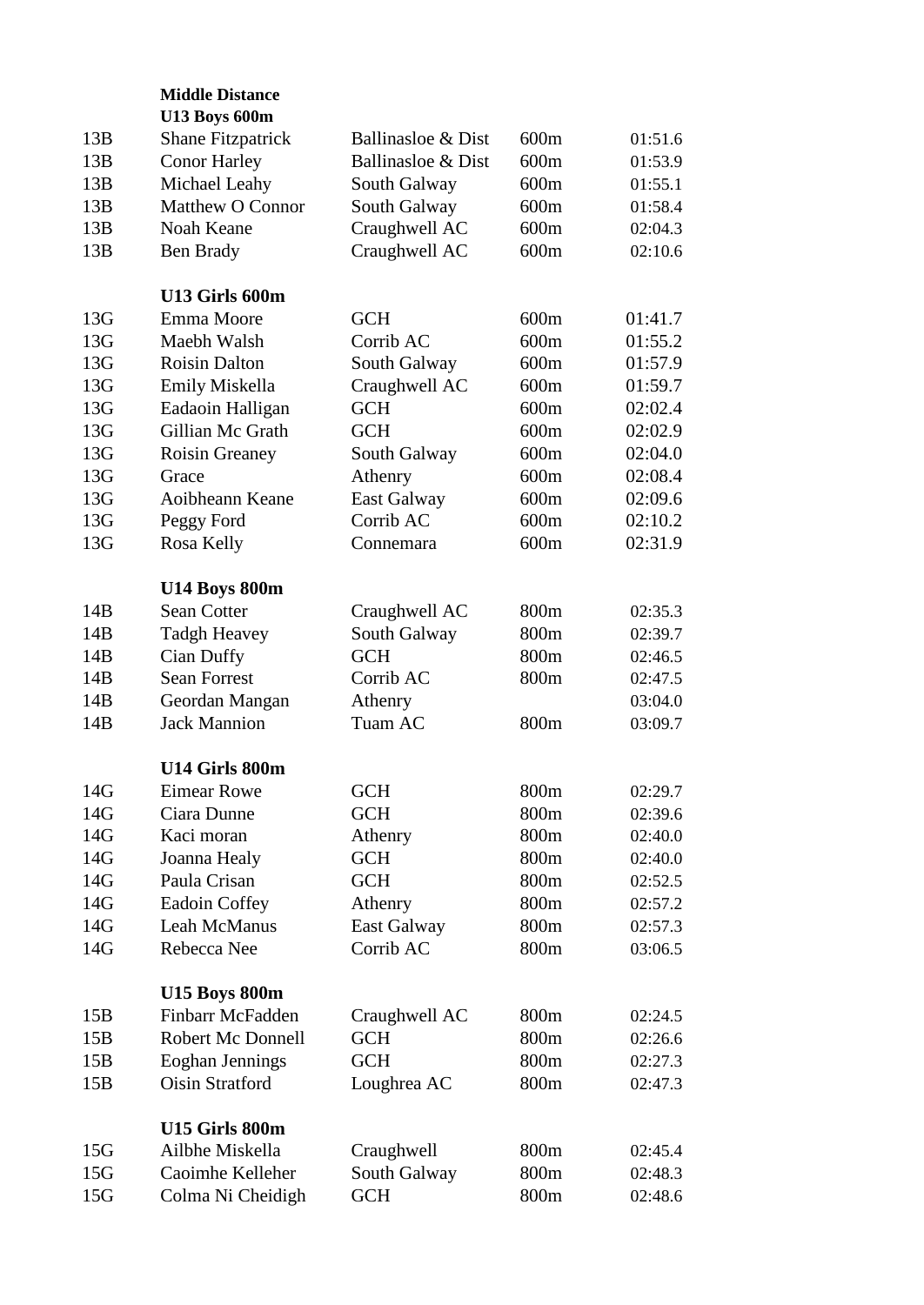|     | <b>Middle Distance</b>   |                    |      |         |
|-----|--------------------------|--------------------|------|---------|
|     | <b>U13 Boys 600m</b>     |                    |      |         |
| 13B | <b>Shane Fitzpatrick</b> | Ballinasloe & Dist | 600m | 01:51.6 |
| 13B | <b>Conor Harley</b>      | Ballinasloe & Dist | 600m | 01:53.9 |
| 13B | Michael Leahy            | South Galway       | 600m | 01:55.1 |
| 13B | <b>Matthew O Connor</b>  | South Galway       | 600m | 01:58.4 |
| 13B | Noah Keane               | Craughwell AC      | 600m | 02:04.3 |
| 13B | Ben Brady                | Craughwell AC      | 600m | 02:10.6 |
|     | U13 Girls 600m           |                    |      |         |
| 13G | Emma Moore               | <b>GCH</b>         | 600m | 01:41.7 |
| 13G | Maebh Walsh              | Corrib AC          | 600m | 01:55.2 |
| 13G | <b>Roisin Dalton</b>     | South Galway       | 600m | 01:57.9 |
| 13G | Emily Miskella           | Craughwell AC      | 600m | 01:59.7 |
| 13G | Eadaoin Halligan         | <b>GCH</b>         | 600m | 02:02.4 |
| 13G | Gillian Mc Grath         | <b>GCH</b>         | 600m | 02:02.9 |
| 13G | <b>Roisin Greaney</b>    | South Galway       | 600m | 02:04.0 |
| 13G | Grace                    | Athenry            | 600m | 02:08.4 |
| 13G | Aoibheann Keane          | <b>East Galway</b> | 600m | 02:09.6 |
| 13G | Peggy Ford               | Corrib AC          | 600m | 02:10.2 |
| 13G |                          | Connemara          | 600m | 02:31.9 |
|     | Rosa Kelly               |                    |      |         |
|     | <b>U14 Boys 800m</b>     |                    |      |         |
| 14B | Sean Cotter              | Craughwell AC      | 800m | 02:35.3 |
| 14B | <b>Tadgh Heavey</b>      | South Galway       | 800m | 02:39.7 |
| 14B | Cian Duffy               | <b>GCH</b>         | 800m | 02:46.5 |
| 14B | <b>Sean Forrest</b>      | Corrib AC          | 800m | 02:47.5 |
| 14B | Geordan Mangan           | Athenry            |      | 03:04.0 |
| 14B | <b>Jack Mannion</b>      | Tuam AC            | 800m | 03:09.7 |
|     | U14 Girls 800m           |                    |      |         |
| 14G | <b>Eimear Rowe</b>       | <b>GCH</b>         | 800m | 02:29.7 |
| 14G | Ciara Dunne              | <b>GCH</b>         | 800m | 02:39.6 |
| 14G | Kaci moran               | Athenry            | 800m | 02:40.0 |
| 14G | Joanna Healy             | <b>GCH</b>         | 800m | 02:40.0 |
| 14G | Paula Crisan             | <b>GCH</b>         | 800m | 02:52.5 |
| 14G | Eadoin Coffey            | Athenry            | 800m | 02:57.2 |
| 14G | <b>Leah McManus</b>      | <b>East Galway</b> | 800m | 02:57.3 |
| 14G | Rebecca Nee              | Corrib AC          | 800m | 03:06.5 |
|     | <b>U15 Boys 800m</b>     |                    |      |         |
| 15B | Finbarr McFadden         | Craughwell AC      | 800m | 02:24.5 |
| 15B | <b>Robert Mc Donnell</b> | <b>GCH</b>         | 800m | 02:26.6 |
| 15B | Eoghan Jennings          | <b>GCH</b>         | 800m | 02:27.3 |
| 15B | <b>Oisin Stratford</b>   | Loughrea AC        | 800m | 02:47.3 |
|     | U15 Girls 800m           |                    |      |         |
| 15G | Ailbhe Miskella          | Craughwell         | 800m | 02:45.4 |
| 15G | Caoimhe Kelleher         | South Galway       | 800m | 02:48.3 |
| 15G | Colma Ni Cheidigh        | <b>GCH</b>         | 800m | 02:48.6 |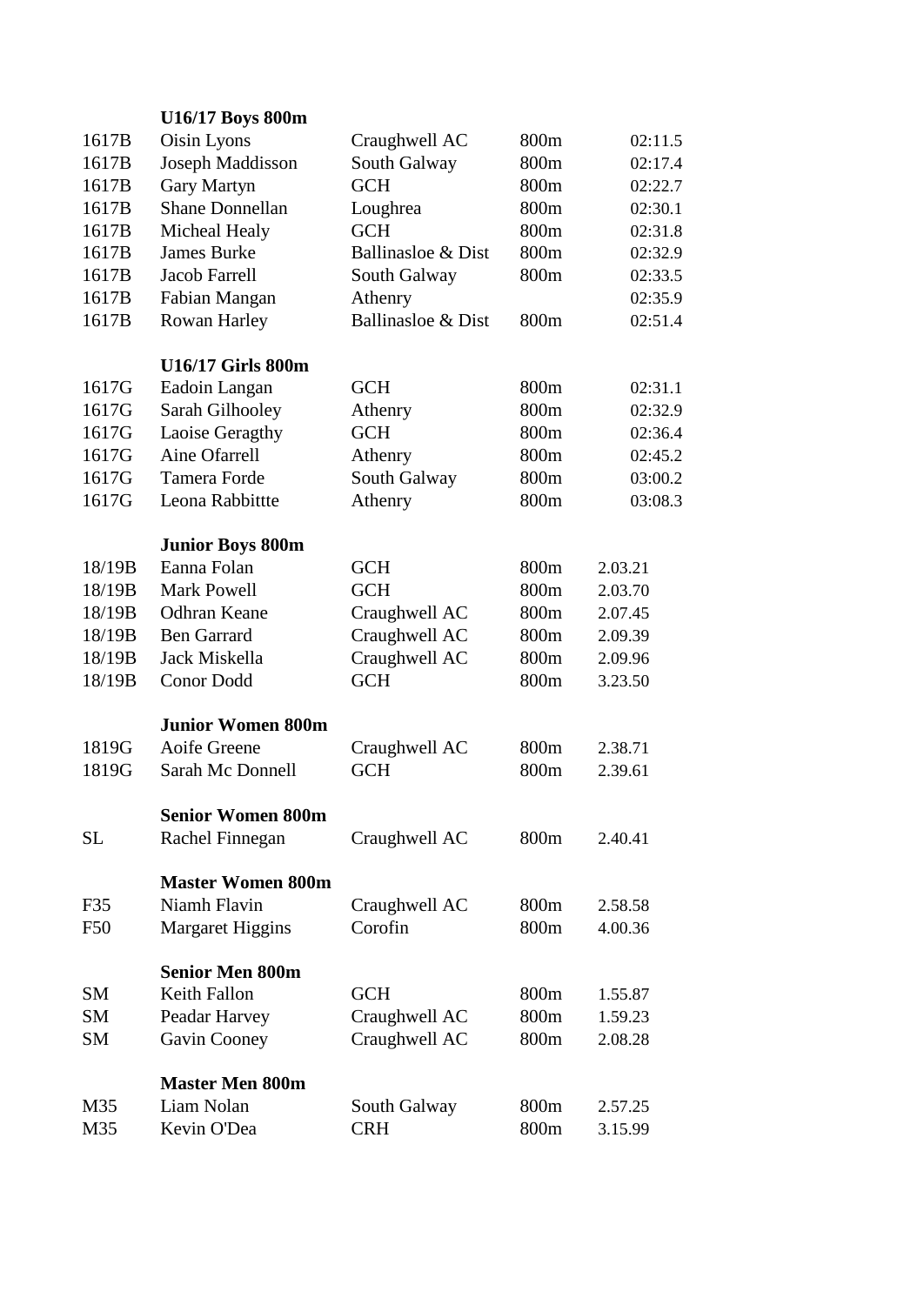|           | U16/17 Boys 800m         |                    |                  |         |
|-----------|--------------------------|--------------------|------------------|---------|
| 1617B     | Oisin Lyons              | Craughwell AC      | 800m             | 02:11.5 |
| 1617B     | Joseph Maddisson         | South Galway       | 800m             | 02:17.4 |
| 1617B     | Gary Martyn              | <b>GCH</b>         | 800m             | 02:22.7 |
| 1617B     | <b>Shane Donnellan</b>   | Loughrea           | 800m             | 02:30.1 |
| 1617B     | Micheal Healy            | <b>GCH</b>         | 800m             | 02:31.8 |
| 1617B     | <b>James Burke</b>       | Ballinasloe & Dist | 800m             | 02:32.9 |
| 1617B     | <b>Jacob Farrell</b>     | South Galway       | 800m             | 02:33.5 |
| 1617B     | Fabian Mangan            | Athenry            |                  | 02:35.9 |
| 1617B     | Rowan Harley             | Ballinasloe & Dist | 800m             | 02:51.4 |
|           |                          |                    |                  |         |
|           | <b>U16/17 Girls 800m</b> |                    |                  |         |
| 1617G     | Eadoin Langan            | <b>GCH</b>         | 800m             | 02:31.1 |
| 1617G     | Sarah Gilhooley          | Athenry            | 800m             | 02:32.9 |
| 1617G     | Laoise Geragthy          | <b>GCH</b>         | 800m             | 02:36.4 |
| 1617G     | Aine Ofarrell            | Athenry            | 800m             | 02:45.2 |
| 1617G     | Tamera Forde             | South Galway       | 800m             | 03:00.2 |
| 1617G     | Leona Rabbittte          | Athenry            | 800m             | 03:08.3 |
|           |                          |                    |                  |         |
|           | <b>Junior Boys 800m</b>  |                    |                  |         |
| 18/19B    | Eanna Folan              | <b>GCH</b>         | 800m             | 2.03.21 |
| 18/19B    | <b>Mark Powell</b>       | <b>GCH</b>         | 800m             | 2.03.70 |
| 18/19B    | <b>Odhran Keane</b>      | Craughwell AC      | 800m             | 2.07.45 |
| 18/19B    | <b>Ben Garrard</b>       | Craughwell AC      | 800m             | 2.09.39 |
| 18/19B    | Jack Miskella            | Craughwell AC      | 800m             | 2.09.96 |
| 18/19B    | <b>Conor Dodd</b>        | <b>GCH</b>         | 800m             | 3.23.50 |
|           |                          |                    |                  |         |
|           | <b>Junior Women 800m</b> |                    |                  |         |
| 1819G     | Aoife Greene             | Craughwell AC      | 800m             | 2.38.71 |
| 1819G     | <b>Sarah Mc Donnell</b>  | <b>GCH</b>         | 800 <sub>m</sub> | 2.39.61 |
|           |                          |                    |                  |         |
|           | <b>Senior Women 800m</b> |                    |                  |         |
| <b>SL</b> | Rachel Finnegan          | Craughwell AC      | 800m             | 2.40.41 |
|           |                          |                    |                  |         |
|           | <b>Master Women 800m</b> |                    |                  |         |
| F35       | Niamh Flavin             | Craughwell AC      | 800m             | 2.58.58 |
| F50       | <b>Margaret Higgins</b>  | Corofin            | 800m             | 4.00.36 |
|           | <b>Senior Men 800m</b>   |                    |                  |         |
| <b>SM</b> | <b>Keith Fallon</b>      | <b>GCH</b>         | 800m             | 1.55.87 |
| <b>SM</b> | Peadar Harvey            | Craughwell AC      | 800m             | 1.59.23 |
| <b>SM</b> | Gavin Cooney             | Craughwell AC      | 800m             | 2.08.28 |
|           |                          |                    |                  |         |
|           | <b>Master Men 800m</b>   |                    |                  |         |
| M35       | Liam Nolan               | South Galway       | 800m             | 2.57.25 |
| M35       | Kevin O'Dea              | <b>CRH</b>         | 800m             | 3.15.99 |
|           |                          |                    |                  |         |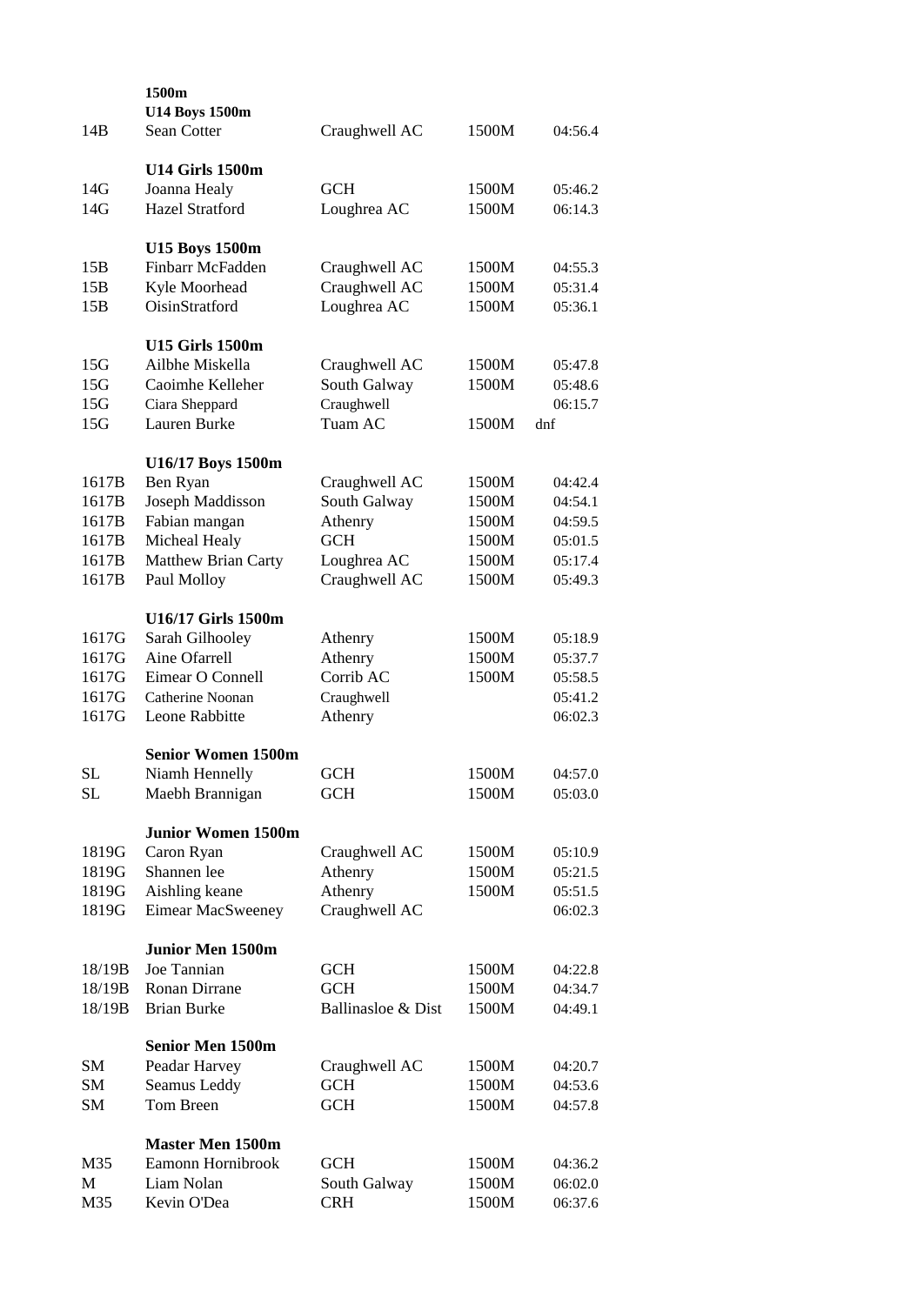| 14B       | 1500m<br><b>U14 Boys 1500m</b><br>Sean Cotter | Craughwell AC      | 1500M | 04:56.4 |
|-----------|-----------------------------------------------|--------------------|-------|---------|
|           |                                               |                    |       |         |
|           | <b>U14 Girls 1500m</b>                        |                    |       |         |
| 14G       | Joanna Healy                                  | <b>GCH</b>         | 1500M | 05:46.2 |
| 14G       | <b>Hazel Stratford</b>                        | Loughrea AC        | 1500M | 06:14.3 |
|           | <b>U15 Boys 1500m</b>                         |                    |       |         |
| 15B       | Finbarr McFadden                              | Craughwell AC      | 1500M | 04:55.3 |
| 15B       | Kyle Moorhead                                 | Craughwell AC      | 1500M | 05:31.4 |
| 15B       | OisinStratford                                | Loughrea AC        | 1500M | 05:36.1 |
|           | <b>U15 Girls 1500m</b>                        |                    |       |         |
| 15G       | Ailbhe Miskella                               | Craughwell AC      | 1500M | 05:47.8 |
| 15G       | Caoimhe Kelleher                              | South Galway       | 1500M | 05:48.6 |
| 15G       | Ciara Sheppard                                | Craughwell         |       | 06:15.7 |
| 15G       | Lauren Burke                                  | Tuam AC            | 1500M | dnf     |
|           | U16/17 Boys 1500m                             |                    |       |         |
| 1617B     | Ben Ryan                                      | Craughwell AC      | 1500M | 04:42.4 |
| 1617B     | Joseph Maddisson                              | South Galway       | 1500M | 04:54.1 |
| 1617B     | Fabian mangan                                 | Athenry            | 1500M | 04:59.5 |
| 1617B     | Micheal Healy                                 | <b>GCH</b>         | 1500M | 05:01.5 |
| 1617B     | Matthew Brian Carty                           | Loughrea AC        | 1500M | 05:17.4 |
| 1617B     | Paul Molloy                                   | Craughwell AC      | 1500M | 05:49.3 |
|           | U16/17 Girls 1500m                            |                    |       |         |
| 1617G     | Sarah Gilhooley                               | Athenry            | 1500M | 05:18.9 |
| 1617G     | Aine Ofarrell                                 | Athenry            | 1500M | 05:37.7 |
| 1617G     | Eimear O Connell                              | Corrib AC          | 1500M | 05:58.5 |
| 1617G     | Catherine Noonan                              | Craughwell         |       | 05:41.2 |
| 1617G     | Leone Rabbitte                                | Athenry            |       | 06:02.3 |
|           | <b>Senior Women 1500m</b>                     |                    |       |         |
| SL        | Niamh Hennelly                                | GCH                | 1500M | 04:57.0 |
| <b>SL</b> | Maebh Brannigan                               | <b>GCH</b>         | 1500M | 05:03.0 |
|           | <b>Junior Women 1500m</b>                     |                    |       |         |
| 1819G     | Caron Ryan                                    | Craughwell AC      | 1500M | 05:10.9 |
| 1819G     | Shannen lee                                   | Athenry            | 1500M | 05:21.5 |
| 1819G     | Aishling keane                                | Athenry            | 1500M | 05:51.5 |
| 1819G     | <b>Eimear MacSweeney</b>                      | Craughwell AC      |       | 06:02.3 |
|           | <b>Junior Men 1500m</b>                       |                    |       |         |
| 18/19B    | Joe Tannian                                   | <b>GCH</b>         | 1500M | 04:22.8 |
| 18/19B    | Ronan Dirrane                                 | <b>GCH</b>         | 1500M | 04:34.7 |
| 18/19B    | <b>Brian Burke</b>                            | Ballinasloe & Dist | 1500M | 04:49.1 |
|           | <b>Senior Men 1500m</b>                       |                    |       |         |
| <b>SM</b> | Peadar Harvey                                 | Craughwell AC      | 1500M | 04:20.7 |
| <b>SM</b> | Seamus Leddy                                  | <b>GCH</b>         | 1500M | 04:53.6 |
| SM        | Tom Breen                                     | <b>GCH</b>         | 1500M | 04:57.8 |
|           | <b>Master Men 1500m</b>                       |                    |       |         |
| M35       | Eamonn Hornibrook                             | <b>GCH</b>         | 1500M | 04:36.2 |
| M         | Liam Nolan                                    | South Galway       | 1500M | 06:02.0 |
| M35       | Kevin O'Dea                                   | <b>CRH</b>         | 1500M | 06:37.6 |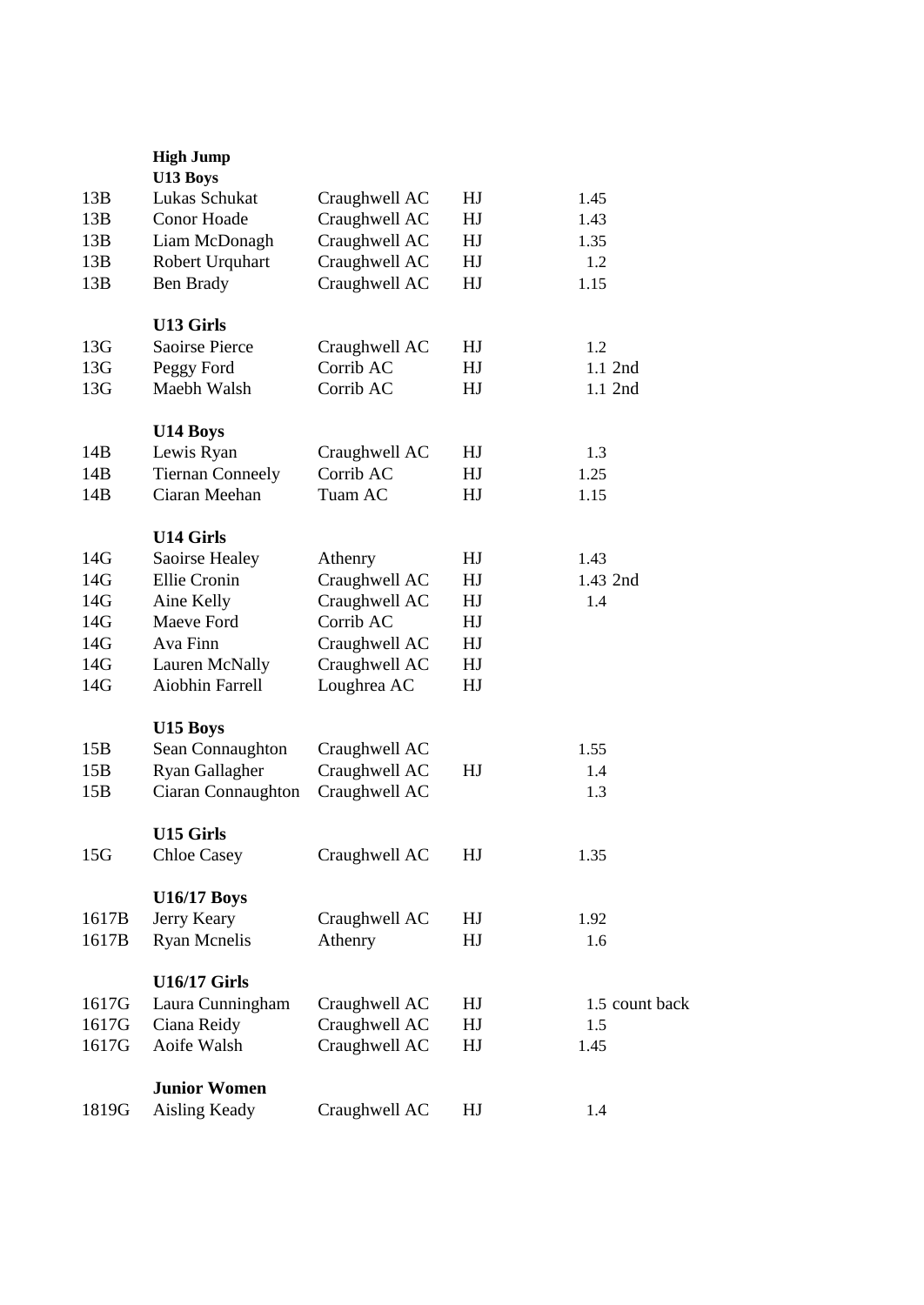|                 | <b>High Jump</b><br>U13 Boys |               |    |                |
|-----------------|------------------------------|---------------|----|----------------|
| 13B             | Lukas Schukat                | Craughwell AC | HJ | 1.45           |
| 13B             | Conor Hoade                  | Craughwell AC | HJ | 1.43           |
| 13B             | Liam McDonagh                | Craughwell AC | HJ | 1.35           |
| 13B             | Robert Urquhart              | Craughwell AC | HJ | 1.2            |
| 13B             | Ben Brady                    | Craughwell AC | HJ | 1.15           |
|                 | <b>U13 Girls</b>             |               |    |                |
| 13G             | Saoirse Pierce               | Craughwell AC | HJ | 1.2            |
| 13G             | Peggy Ford                   | Corrib AC     | HJ | $1.1$ 2nd      |
| 13G             | Maebh Walsh                  | Corrib AC     | HJ | 1.1 2nd        |
|                 |                              |               |    |                |
|                 | U14 Boys                     |               |    |                |
| 14B             | Lewis Ryan                   | Craughwell AC | HJ | 1.3            |
| 14B             | <b>Tiernan Conneely</b>      | Corrib AC     | HJ | 1.25           |
| 14B             | Ciaran Meehan                | Tuam AC       | HJ | 1.15           |
|                 | <b>U14 Girls</b>             |               |    |                |
| 14G             | Saoirse Healey               | Athenry       | HJ | 1.43           |
| 14G             | Ellie Cronin                 | Craughwell AC | HJ | 1.43 2nd       |
| 14G             | Aine Kelly                   | Craughwell AC | HJ | 1.4            |
| 14G             | Maeve Ford                   | Corrib AC     | HJ |                |
| 14G             | Ava Finn                     | Craughwell AC | HJ |                |
| 14G             | Lauren McNally               | Craughwell AC | HJ |                |
| 14G             | Aiobhin Farrell              | Loughrea AC   | HJ |                |
|                 | U15 Boys                     |               |    |                |
| 15B             | Sean Connaughton             | Craughwell AC |    | 1.55           |
| 15B             | Ryan Gallagher               | Craughwell AC | HJ | 1.4            |
| 15B             | Ciaran Connaughton           | Craughwell AC |    | 1.3            |
|                 |                              |               |    |                |
|                 | <b>U15 Girls</b>             |               |    |                |
| 15 <sub>G</sub> | <b>Chloe Casey</b>           | Craughwell AC | HJ | 1.35           |
|                 | <b>U16/17 Boys</b>           |               |    |                |
| 1617B           | Jerry Keary                  | Craughwell AC | HJ | 1.92           |
| 1617B           | <b>Ryan Mcnelis</b>          | Athenry       | HJ | 1.6            |
|                 | <b>U16/17 Girls</b>          |               |    |                |
| 1617G           | Laura Cunningham             | Craughwell AC | HJ | 1.5 count back |
| 1617G           | Ciana Reidy                  | Craughwell AC | HJ | 1.5            |
| 1617G           | Aoife Walsh                  | Craughwell AC | HJ | 1.45           |
|                 |                              |               |    |                |
|                 | <b>Junior Women</b>          |               |    |                |
| 1819G           | Aisling Keady                | Craughwell AC | HJ | 1.4            |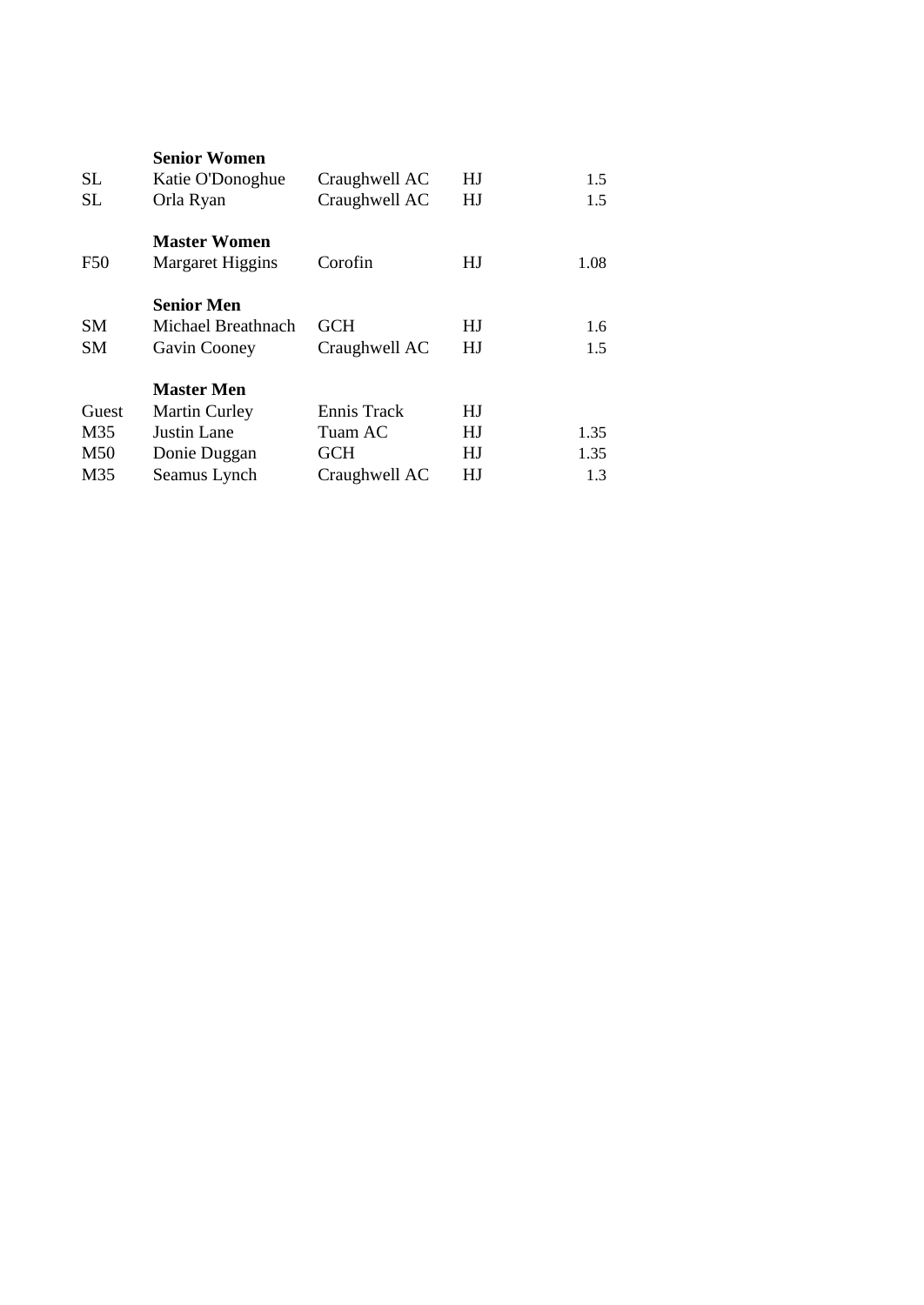|                 | <b>Senior Women</b>  |               |    |      |
|-----------------|----------------------|---------------|----|------|
| <b>SL</b>       | Katie O'Donoghue     | Craughwell AC | HJ | 1.5  |
| <b>SL</b>       | Orla Ryan            | Craughwell AC | HJ | 1.5  |
|                 | <b>Master Women</b>  |               |    |      |
| F <sub>50</sub> | Margaret Higgins     | Corofin       | HJ | 1.08 |
|                 | <b>Senior Men</b>    |               |    |      |
| SМ              | Michael Breathnach   | <b>GCH</b>    | HJ | 1.6  |
| <b>SM</b>       | Gavin Cooney         | Craughwell AC | HJ | 1.5  |
|                 | <b>Master Men</b>    |               |    |      |
| Guest           | <b>Martin Curley</b> | Ennis Track   | HJ |      |
| M35             | Justin Lane          | Tuam AC       | HJ | 1.35 |
| M50             | Donie Duggan         | <b>GCH</b>    | HJ | 1.35 |
| M35             | Seamus Lynch         | Craughwell AC | HJ | 1.3  |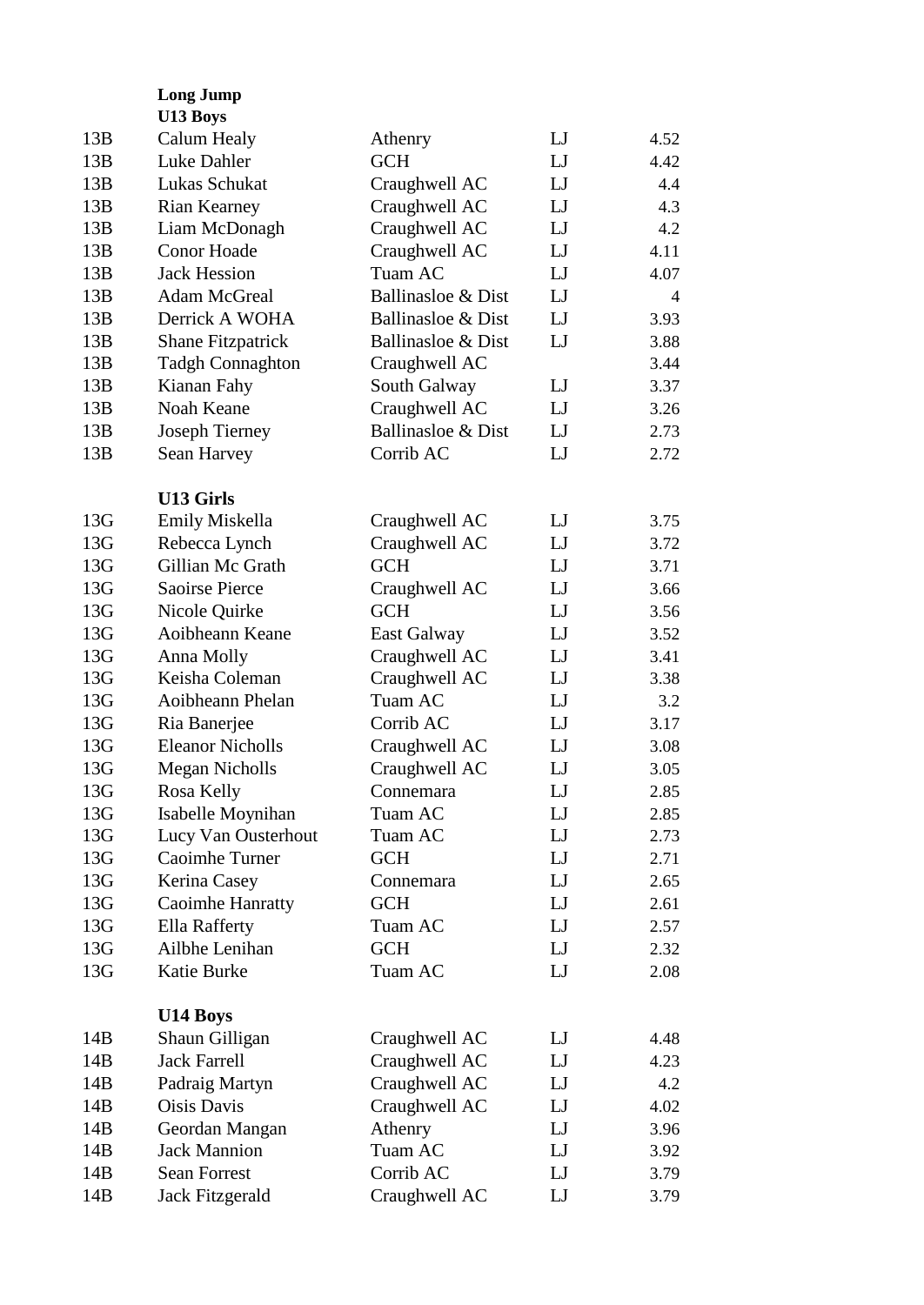|     | <b>Long Jump</b><br>U13 Boys |                    |             |                |
|-----|------------------------------|--------------------|-------------|----------------|
|     |                              |                    |             |                |
| 13B | Calum Healy                  | Athenry            | $_{\rm LJ}$ | 4.52           |
| 13B | Luke Dahler                  | <b>GCH</b>         | LJ          | 4.42           |
| 13B | Lukas Schukat                | Craughwell AC      | $_{\rm LJ}$ | 4.4            |
| 13B | <b>Rian Kearney</b>          | Craughwell AC      | LJ          | 4.3            |
| 13B | Liam McDonagh                | Craughwell AC      | LJ          | 4.2            |
| 13B | <b>Conor Hoade</b>           | Craughwell AC      | LJ          | 4.11           |
| 13B | <b>Jack Hession</b>          | Tuam AC            | LJ          | 4.07           |
| 13B | <b>Adam McGreal</b>          | Ballinasloe & Dist | LJ          | $\overline{4}$ |
| 13B | Derrick A WOHA               | Ballinasloe & Dist | LJ          | 3.93           |
| 13B | <b>Shane Fitzpatrick</b>     | Ballinasloe & Dist | LJ          | 3.88           |
| 13B | <b>Tadgh Connaghton</b>      | Craughwell AC      |             | 3.44           |
| 13B | Kianan Fahy                  | South Galway       | LJ          | 3.37           |
| 13B | Noah Keane                   | Craughwell AC      | $_{\rm LJ}$ | 3.26           |
| 13B | Joseph Tierney               | Ballinasloe & Dist | LJ          | 2.73           |
| 13B | Sean Harvey                  | Corrib AC          | LJ          | 2.72           |
|     |                              |                    |             |                |
|     | <b>U13 Girls</b>             |                    |             |                |
| 13G | Emily Miskella               | Craughwell AC      | LJ          | 3.75           |
| 13G | Rebecca Lynch                | Craughwell AC      | LJ          | 3.72           |
| 13G | Gillian Mc Grath             | <b>GCH</b>         | LJ          | 3.71           |
| 13G | <b>Saoirse Pierce</b>        | Craughwell AC      | LJ          | 3.66           |
| 13G | Nicole Quirke                | <b>GCH</b>         | $_{\rm LJ}$ | 3.56           |
| 13G | Aoibheann Keane              | <b>East Galway</b> | LJ          | 3.52           |
| 13G | Anna Molly                   | Craughwell AC      | LJ          | 3.41           |
| 13G | Keisha Coleman               | Craughwell AC      | $_{\rm LJ}$ | 3.38           |
| 13G | Aoibheann Phelan             | Tuam AC            | LJ          | 3.2            |
| 13G | Ria Banerjee                 | Corrib AC          | LJ          | 3.17           |
| 13G | <b>Eleanor Nicholls</b>      | Craughwell AC      | LJ          | 3.08           |
| 13G | <b>Megan Nicholls</b>        | Craughwell AC      | LJ          | 3.05           |
| 13G | Rosa Kelly                   | Connemara          | LJ          | 2.85           |
| 13G | Isabelle Moynihan            | Tuam AC            | LJ          | 2.85           |
| 13G | Lucy Van Ousterhout          | Tuam AC            | LJ          | 2.73           |
| 13G | Caoimhe Turner               | <b>GCH</b>         | LJ          | 2.71           |
| 13G | Kerina Casey                 | Connemara          | $_{\rm LJ}$ | 2.65           |
| 13G | <b>Caoimhe Hanratty</b>      | <b>GCH</b>         | LJ          | 2.61           |
| 13G | <b>Ella Rafferty</b>         | Tuam AC            | LJ          | 2.57           |
| 13G | Ailbhe Lenihan               | <b>GCH</b>         | $_{\rm LJ}$ | 2.32           |
| 13G | Katie Burke                  | Tuam AC            | LJ          | 2.08           |
|     |                              |                    |             |                |
|     | U14 Boys                     |                    |             |                |
| 14B | Shaun Gilligan               | Craughwell AC      | LJ          | 4.48           |
| 14B | <b>Jack Farrell</b>          | Craughwell AC      | $_{\rm LJ}$ | 4.23           |
| 14B | Padraig Martyn               | Craughwell AC      | LJ          | 4.2            |
| 14B | Oisis Davis                  | Craughwell AC      | LJ          | 4.02           |
| 14B | Geordan Mangan               | Athenry            | LJ          | 3.96           |
| 14B | <b>Jack Mannion</b>          | Tuam AC            | LJ          | 3.92           |
| 14B | <b>Sean Forrest</b>          | Corrib AC          | LJ          | 3.79           |
| 14B | Jack Fitzgerald              | Craughwell AC      | LJ          | 3.79           |
|     |                              |                    |             |                |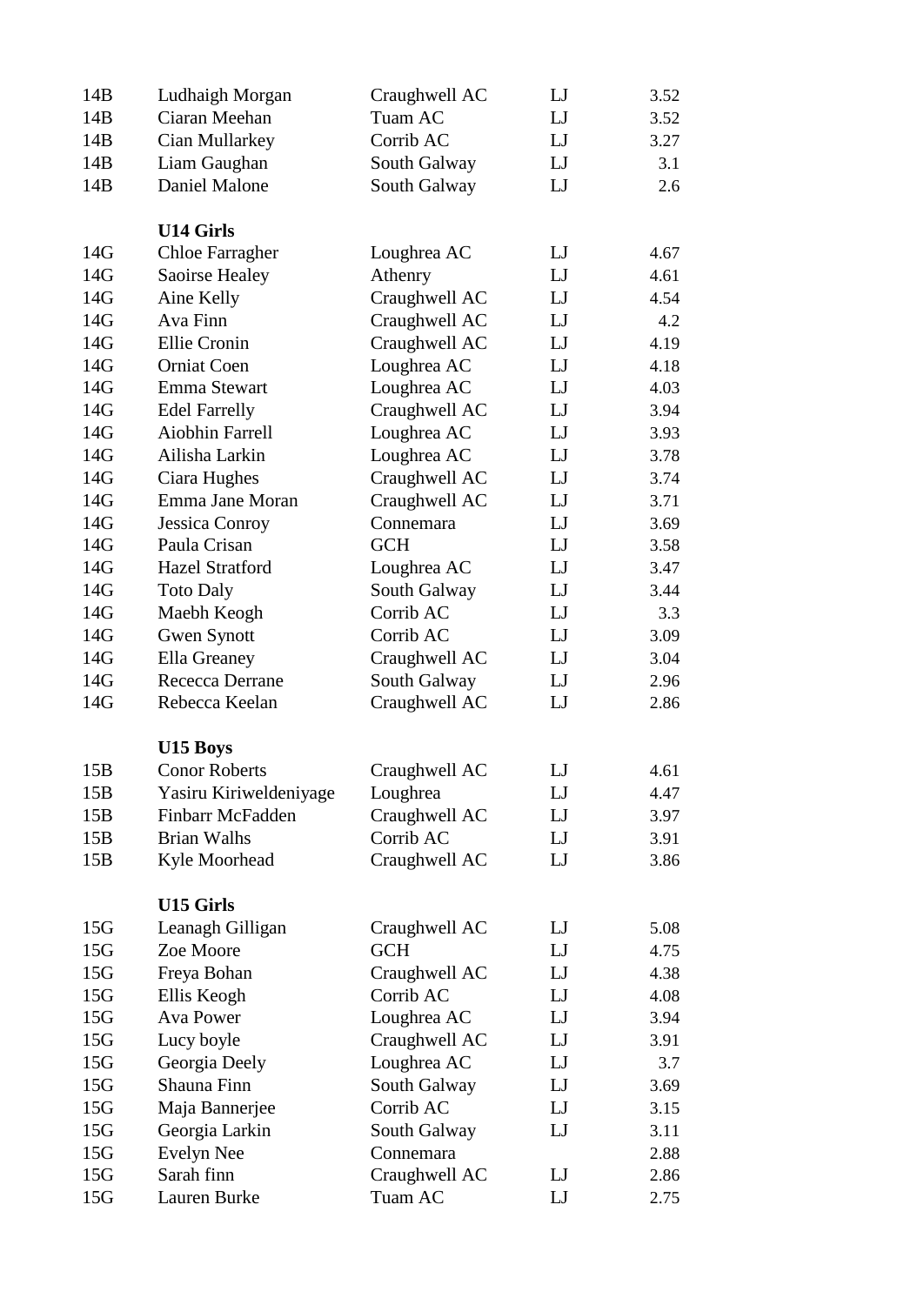| 14B             | Ludhaigh Morgan        | Craughwell AC | LJ | 3.52 |
|-----------------|------------------------|---------------|----|------|
| 14B             | Ciaran Meehan          | Tuam AC       | LJ | 3.52 |
| 14B             | Cian Mullarkey         | Corrib AC     | LJ | 3.27 |
| 14B             | Liam Gaughan           | South Galway  | LJ | 3.1  |
| 14B             | <b>Daniel Malone</b>   | South Galway  | LJ | 2.6  |
|                 |                        |               |    |      |
|                 | <b>U14 Girls</b>       |               |    |      |
| 14G             | <b>Chloe Farragher</b> | Loughrea AC   | LJ | 4.67 |
| 14G             | Saoirse Healey         | Athenry       | LJ | 4.61 |
| 14G             | Aine Kelly             | Craughwell AC | LJ | 4.54 |
| 14G             | Ava Finn               | Craughwell AC | LJ | 4.2  |
| 14G             | Ellie Cronin           | Craughwell AC | LJ | 4.19 |
| 14G             | <b>Orniat Coen</b>     | Loughrea AC   | LJ | 4.18 |
| 14G             | Emma Stewart           | Loughrea AC   | LJ | 4.03 |
| 14G             | <b>Edel Farrelly</b>   | Craughwell AC | LJ | 3.94 |
| 14G             | <b>Aiobhin Farrell</b> | Loughrea AC   | LJ | 3.93 |
| 14G             | Ailisha Larkin         | Loughrea AC   | LJ | 3.78 |
| 14G             | Ciara Hughes           | Craughwell AC | LJ | 3.74 |
|                 | Emma Jane Moran        |               |    |      |
| 14G             |                        | Craughwell AC | LJ | 3.71 |
| 14G             | Jessica Conroy         | Connemara     | LJ | 3.69 |
| 14G             | Paula Crisan           | <b>GCH</b>    | LJ | 3.58 |
| 14G             | <b>Hazel Stratford</b> | Loughrea AC   | LJ | 3.47 |
| 14G             | <b>Toto Daly</b>       | South Galway  | LJ | 3.44 |
| 14G             | Maebh Keogh            | Corrib AC     | LJ | 3.3  |
| 14G             | <b>Gwen Synott</b>     | Corrib AC     | LJ | 3.09 |
| 14G             | Ella Greaney           | Craughwell AC | LJ | 3.04 |
| 14G             | Rececca Derrane        | South Galway  | LJ | 2.96 |
| 14G             | Rebecca Keelan         | Craughwell AC | LJ | 2.86 |
|                 |                        |               |    |      |
|                 | U15 Boys               |               |    |      |
| 15B             | <b>Conor Roberts</b>   | Craughwell AC | LJ | 4.61 |
| 15B             | Yasiru Kiriweldeniyage | Loughrea      | LJ | 4.47 |
| 15B             | Finbarr McFadden       | Craughwell AC | LJ | 3.97 |
| 15B             | <b>Brian Walhs</b>     | Corrib AC     | LJ | 3.91 |
| 15B             | Kyle Moorhead          | Craughwell AC | LJ | 3.86 |
|                 |                        |               |    |      |
|                 | <b>U15 Girls</b>       |               |    |      |
| 15G             | Leanagh Gilligan       | Craughwell AC | LJ | 5.08 |
| 15G             | Zoe Moore              | <b>GCH</b>    | LJ | 4.75 |
| 15 <sub>G</sub> | Freya Bohan            | Craughwell AC | LJ | 4.38 |
| 15 <sub>G</sub> | Ellis Keogh            | Corrib AC     | LJ | 4.08 |
| 15 <sub>G</sub> | Ava Power              | Loughrea AC   | LJ | 3.94 |
| 15G             | Lucy boyle             | Craughwell AC | LJ | 3.91 |
| 15 <sub>G</sub> | Georgia Deely          | Loughrea AC   | LJ | 3.7  |
| 15G             | Shauna Finn            | South Galway  | LJ | 3.69 |
| 15 <sub>G</sub> | Maja Bannerjee         | Corrib AC     | LJ | 3.15 |
| 15 <sub>G</sub> | Georgia Larkin         | South Galway  | LJ | 3.11 |
|                 |                        |               |    |      |
| 15G             | <b>Evelyn Nee</b>      | Connemara     |    | 2.88 |
| 15G             | Sarah finn             | Craughwell AC | LJ | 2.86 |
| 15G             | Lauren Burke           | Tuam AC       | LJ | 2.75 |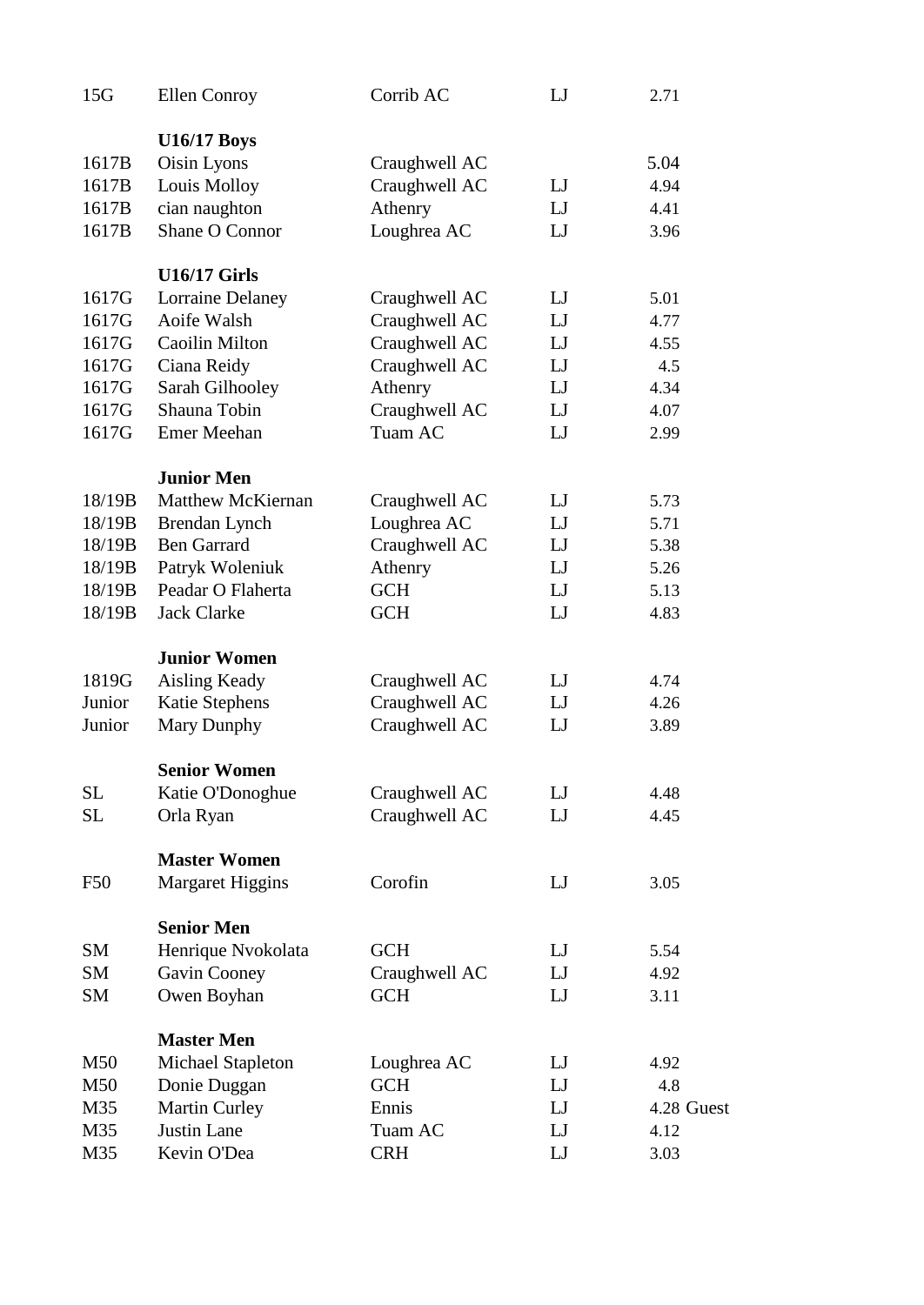| 15G        | <b>Ellen Conroy</b>      | Corrib AC                      | LJ          | 2.71       |
|------------|--------------------------|--------------------------------|-------------|------------|
|            | <b>U16/17 Boys</b>       |                                |             |            |
| 1617B      | Oisin Lyons              | Craughwell AC                  |             | 5.04       |
| 1617B      | Louis Molloy             | Craughwell AC                  | LJ          | 4.94       |
| 1617B      | cian naughton            | Athenry                        | LJ          | 4.41       |
| 1617B      | Shane O Connor           | Loughrea AC                    | LJ          | 3.96       |
|            | <b>U16/17 Girls</b>      |                                |             |            |
| 1617G      | <b>Lorraine Delaney</b>  |                                | $_{\rm LJ}$ | 5.01       |
| 1617G      | Aoife Walsh              | Craughwell AC<br>Craughwell AC | LJ          | 4.77       |
|            |                          |                                |             |            |
| 1617G      | Caoilin Milton           | Craughwell AC                  | LJ          | 4.55       |
| 1617G      | Ciana Reidy              | Craughwell AC                  | LJ          | 4.5        |
| 1617G      | Sarah Gilhooley          | Athenry                        | LI          | 4.34       |
| 1617G      | Shauna Tobin             | Craughwell AC                  | LJ          | 4.07       |
| 1617G      | <b>Emer Meehan</b>       | Tuam AC                        | LJ          | 2.99       |
|            | <b>Junior Men</b>        |                                |             |            |
| 18/19B     | <b>Matthew McKiernan</b> | Craughwell AC                  | $_{\rm LJ}$ | 5.73       |
| 18/19B     | Brendan Lynch            | Loughrea AC                    | LJ          | 5.71       |
| 18/19B     | <b>Ben Garrard</b>       | Craughwell AC                  | LJ          | 5.38       |
| 18/19B     | Patryk Woleniuk          | Athenry                        | $_{\rm LJ}$ | 5.26       |
| 18/19B     | Peadar O Flaherta        | <b>GCH</b>                     | LJ          | 5.13       |
| 18/19B     | <b>Jack Clarke</b>       | <b>GCH</b>                     | LJ          | 4.83       |
|            | <b>Junior Women</b>      |                                |             |            |
| 1819G      | <b>Aisling Keady</b>     | Craughwell AC                  | LJ          | 4.74       |
| Junior     | <b>Katie Stephens</b>    | Craughwell AC                  | LJ          | 4.26       |
| Junior     | Mary Dunphy              | Craughwell AC                  | LJ          | 3.89       |
|            | <b>Senior Women</b>      |                                |             |            |
| SL         | Katie O'Donoghue         | Craughwell AC                  | LJ          | 4.48       |
| SL         | Orla Ryan                | Craughwell AC                  | LJ          | 4.45       |
|            |                          |                                |             |            |
|            | <b>Master Women</b>      |                                |             |            |
| <b>F50</b> | <b>Margaret Higgins</b>  | Corofin                        | LJ          | 3.05       |
|            | <b>Senior Men</b>        |                                |             |            |
| <b>SM</b>  | Henrique Nvokolata       | <b>GCH</b>                     | LJ          | 5.54       |
| <b>SM</b>  | Gavin Cooney             | Craughwell AC                  | LJ          | 4.92       |
| <b>SM</b>  | Owen Boyhan              | <b>GCH</b>                     | LJ          | 3.11       |
|            | <b>Master Men</b>        |                                |             |            |
| M50        | <b>Michael Stapleton</b> | Loughrea AC                    | LJ          | 4.92       |
| M50        | Donie Duggan             | <b>GCH</b>                     | LI          | 4.8        |
| M35        | Martin Curley            | Ennis                          | LJ          | 4.28 Guest |
| M35        | Justin Lane              | Tuam AC                        | LJ          | 4.12       |
| M35        | Kevin O'Dea              | <b>CRH</b>                     | LJ          | 3.03       |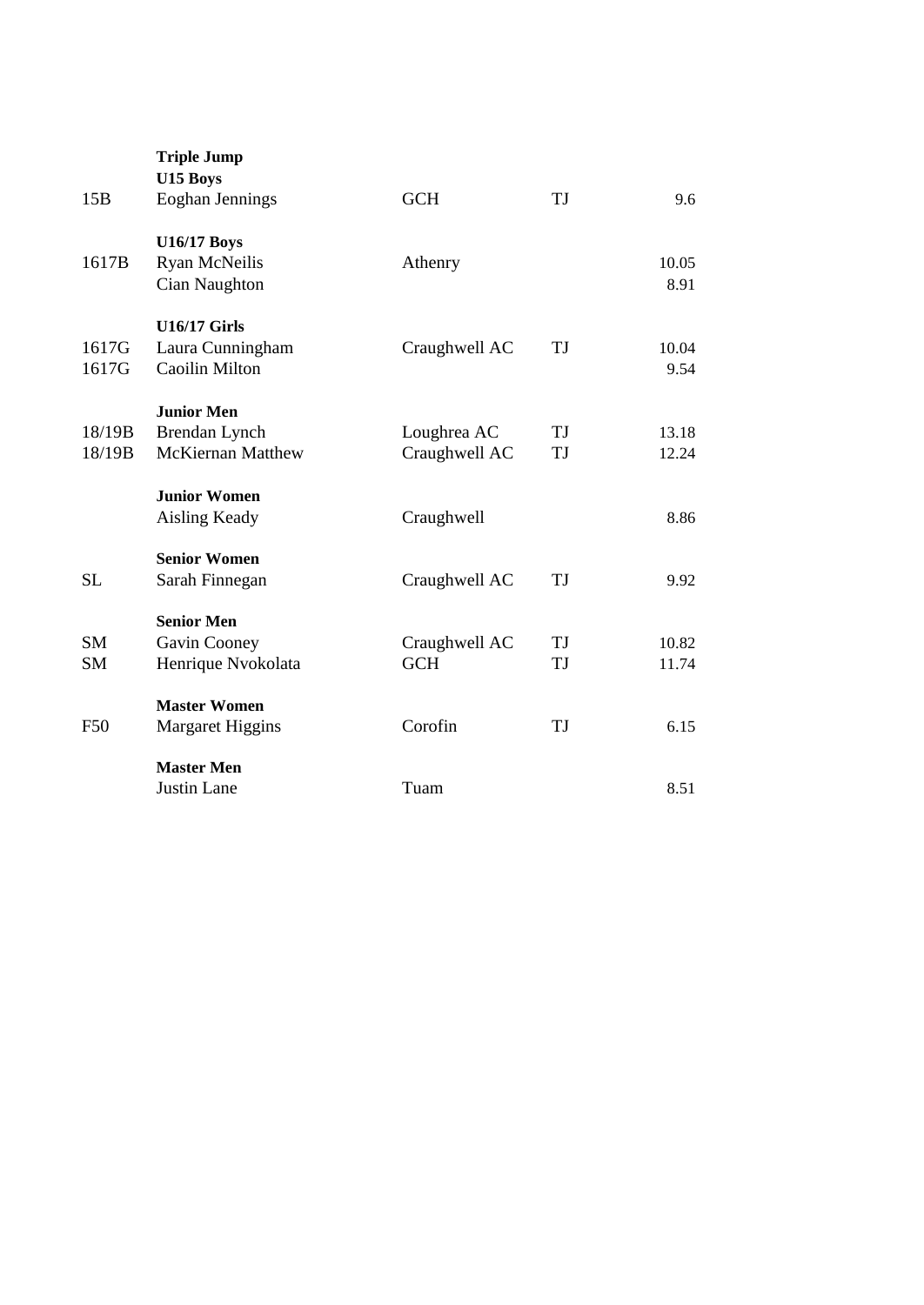|           | <b>Triple Jump</b><br>U15 Boys |               |           |       |  |
|-----------|--------------------------------|---------------|-----------|-------|--|
| 15B       | Eoghan Jennings                | <b>GCH</b>    | <b>TJ</b> | 9.6   |  |
|           | <b>U16/17 Boys</b>             |               |           |       |  |
| 1617B     | <b>Ryan McNeilis</b>           | Athenry       |           | 10.05 |  |
|           | Cian Naughton                  |               |           | 8.91  |  |
|           |                                |               |           |       |  |
|           | <b>U16/17 Girls</b>            |               |           |       |  |
| 1617G     | Laura Cunningham               | Craughwell AC | TJ        | 10.04 |  |
| 1617G     | Caoilin Milton                 |               |           | 9.54  |  |
|           |                                |               |           |       |  |
|           | <b>Junior Men</b>              |               |           |       |  |
| 18/19B    | Brendan Lynch                  | Loughrea AC   | TJ        | 13.18 |  |
| 18/19B    | <b>McKiernan Matthew</b>       | Craughwell AC | TJ        | 12.24 |  |
|           |                                |               |           |       |  |
|           | <b>Junior Women</b>            |               |           |       |  |
|           | <b>Aisling Keady</b>           | Craughwell    |           | 8.86  |  |
|           | <b>Senior Women</b>            |               |           |       |  |
| <b>SL</b> | Sarah Finnegan                 | Craughwell AC | TJ        | 9.92  |  |
|           |                                |               |           |       |  |
|           | <b>Senior Men</b>              |               |           |       |  |
| <b>SM</b> | Gavin Cooney                   | Craughwell AC | TJ        | 10.82 |  |
| <b>SM</b> | Henrique Nvokolata             | <b>GCH</b>    | TJ        | 11.74 |  |
|           |                                |               |           |       |  |
|           | <b>Master Women</b>            |               |           |       |  |
| F50       | <b>Margaret Higgins</b>        | Corofin       | TJ        | 6.15  |  |
|           | <b>Master Men</b>              |               |           |       |  |
|           | Justin Lane                    | Tuam          |           | 8.51  |  |
|           |                                |               |           |       |  |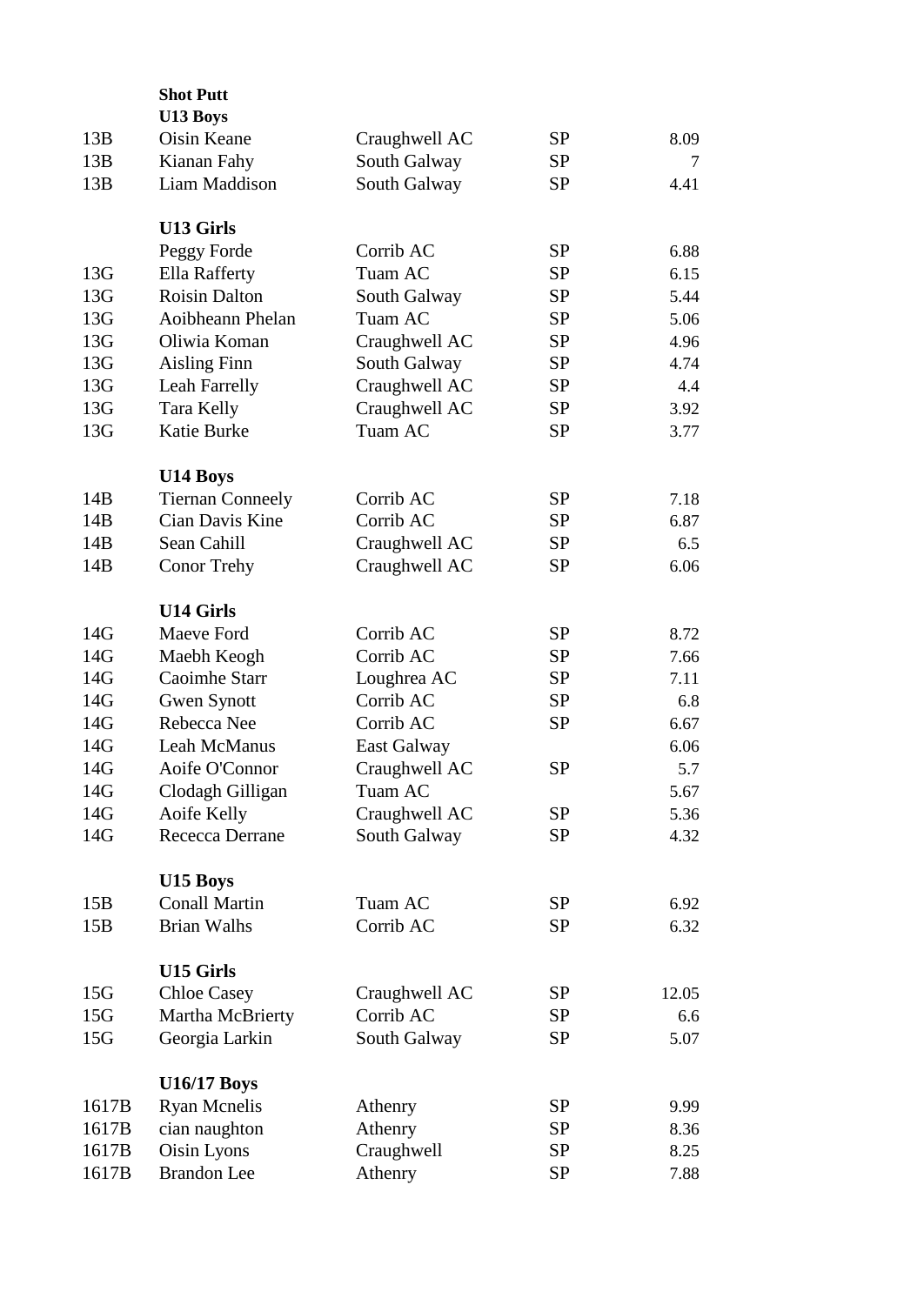|       | <b>Shot Putt</b>                    |               |           |       |
|-------|-------------------------------------|---------------|-----------|-------|
|       | U13 Boys                            |               |           |       |
| 13B   | Oisin Keane                         | Craughwell AC | <b>SP</b> | 8.09  |
| 13B   | Kianan Fahy                         | South Galway  | <b>SP</b> | 7     |
| 13B   | Liam Maddison                       | South Galway  | <b>SP</b> | 4.41  |
|       |                                     |               |           |       |
|       | <b>U13 Girls</b>                    |               |           |       |
|       | Peggy Forde                         | Corrib AC     | <b>SP</b> | 6.88  |
| 13G   | Ella Rafferty                       | Tuam AC       | <b>SP</b> | 6.15  |
| 13G   | <b>Roisin Dalton</b>                | South Galway  | <b>SP</b> | 5.44  |
| 13G   | Aoibheann Phelan                    | Tuam AC       | SP        | 5.06  |
| 13G   | Oliwia Koman                        | Craughwell AC | <b>SP</b> | 4.96  |
| 13G   | <b>Aisling Finn</b>                 | South Galway  | <b>SP</b> | 4.74  |
| 13G   | Leah Farrelly                       | Craughwell AC | <b>SP</b> | 4.4   |
| 13G   | <b>Tara Kelly</b>                   | Craughwell AC | <b>SP</b> | 3.92  |
| 13G   | Katie Burke                         | Tuam AC       | <b>SP</b> | 3.77  |
|       |                                     |               |           |       |
| 14B   | U14 Boys<br><b>Tiernan Conneely</b> | Corrib AC     | <b>SP</b> | 7.18  |
| 14B   | Cian Davis Kine                     | Corrib AC     | <b>SP</b> | 6.87  |
|       | Sean Cahill                         |               |           |       |
| 14B   |                                     | Craughwell AC | <b>SP</b> | 6.5   |
| 14B   | <b>Conor Trehy</b>                  | Craughwell AC | <b>SP</b> | 6.06  |
|       | <b>U14 Girls</b>                    |               |           |       |
| 14G   | Maeve Ford                          | Corrib AC     | <b>SP</b> | 8.72  |
| 14G   | Maebh Keogh                         | Corrib AC     | <b>SP</b> | 7.66  |
| 14G   | Caoimhe Starr                       | Loughrea AC   | <b>SP</b> | 7.11  |
| 14G   | <b>Gwen Synott</b>                  | Corrib AC     | <b>SP</b> | 6.8   |
| 14G   | Rebecca Nee                         | Corrib AC     | <b>SP</b> | 6.67  |
| 14G   | Leah McManus                        | East Galway   |           | 6.06  |
| 14G   | Aoife O'Connor                      | Craughwell AC | <b>SP</b> | 5.7   |
| 14G   | Clodagh Gilligan                    | Tuam AC       |           | 5.67  |
| 14G   | Aoife Kelly                         | Craughwell AC | <b>SP</b> | 5.36  |
| 14G   | Rececca Derrane                     | South Galway  | <b>SP</b> | 4.32  |
|       |                                     |               |           |       |
|       | U15 Boys                            |               |           |       |
| 15B   | <b>Conall Martin</b>                | Tuam AC       | SP        | 6.92  |
| 15B   | <b>Brian Walhs</b>                  | Corrib AC     | SP        | 6.32  |
|       | <b>U15 Girls</b>                    |               |           |       |
| 15G   | <b>Chloe Casey</b>                  | Craughwell AC | SP        | 12.05 |
| 15G   | Martha McBrierty                    | Corrib AC     | SP        | 6.6   |
| 15G   | Georgia Larkin                      | South Galway  | <b>SP</b> | 5.07  |
|       |                                     |               |           |       |
|       | <b>U16/17 Boys</b>                  |               |           |       |
| 1617B | <b>Ryan Mcnelis</b>                 | Athenry       | SP        | 9.99  |
| 1617B | cian naughton                       | Athenry       | SP        | 8.36  |
| 1617B | Oisin Lyons                         | Craughwell    | <b>SP</b> | 8.25  |
| 1617B | <b>Brandon</b> Lee                  | Athenry       | <b>SP</b> | 7.88  |
|       |                                     |               |           |       |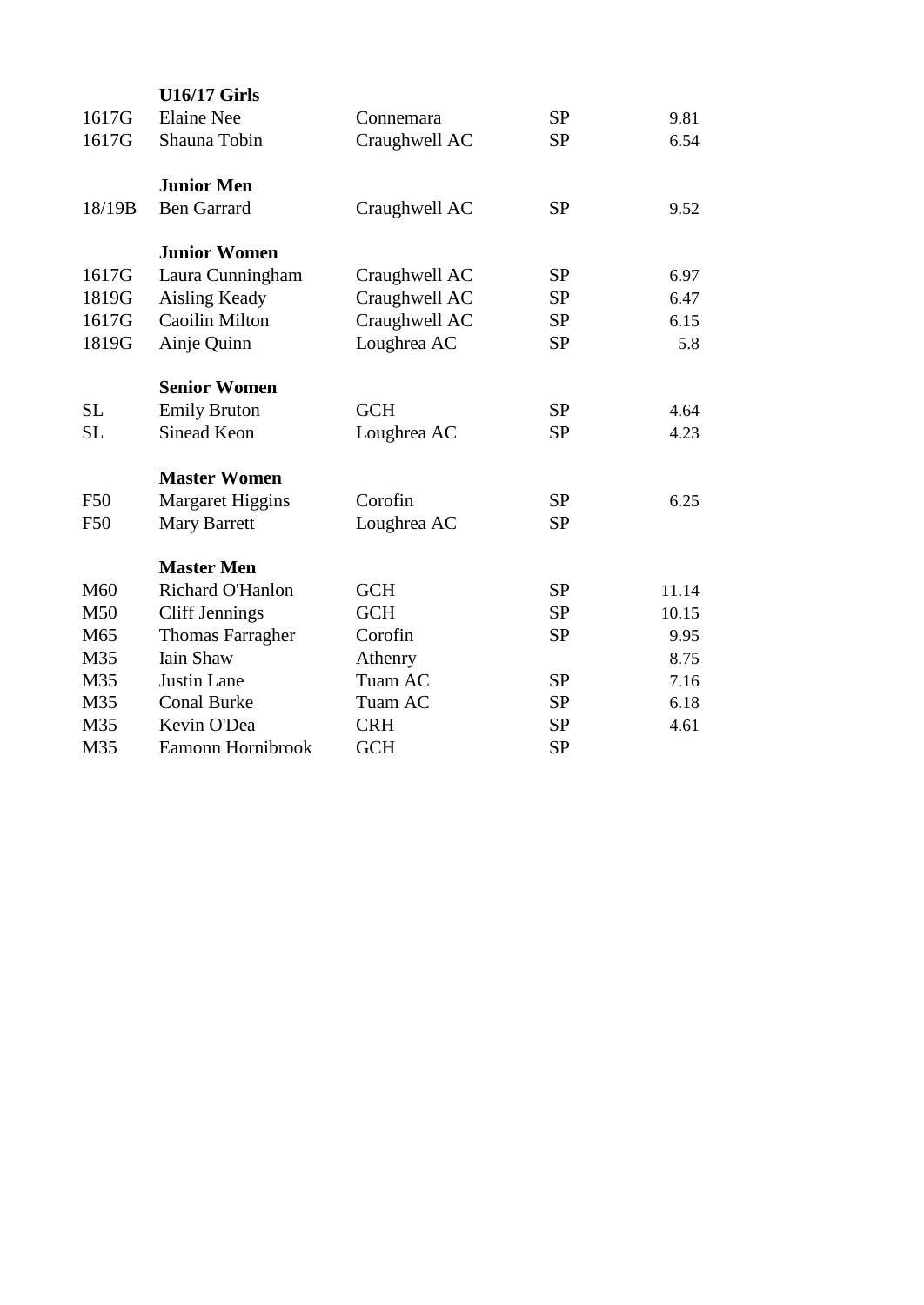|                 | <b>U16/17 Girls</b>     |               |           |       |  |
|-----------------|-------------------------|---------------|-----------|-------|--|
| 1617G           | <b>Elaine Nee</b>       | Connemara     | <b>SP</b> | 9.81  |  |
| 1617G           | Shauna Tobin            | Craughwell AC | <b>SP</b> | 6.54  |  |
|                 | <b>Junior Men</b>       |               |           |       |  |
| 18/19B          | <b>Ben Garrard</b>      | Craughwell AC | <b>SP</b> | 9.52  |  |
|                 | <b>Junior Women</b>     |               |           |       |  |
| 1617G           | Laura Cunningham        | Craughwell AC | <b>SP</b> | 6.97  |  |
| 1819G           | <b>Aisling Keady</b>    | Craughwell AC | <b>SP</b> | 6.47  |  |
| 1617G           | Caoilin Milton          | Craughwell AC | <b>SP</b> | 6.15  |  |
| 1819G           | Ainje Quinn             | Loughrea AC   | <b>SP</b> | 5.8   |  |
|                 | <b>Senior Women</b>     |               |           |       |  |
| <b>SL</b>       | <b>Emily Bruton</b>     | <b>GCH</b>    | <b>SP</b> | 4.64  |  |
| <b>SL</b>       | Sinead Keon             | Loughrea AC   | <b>SP</b> | 4.23  |  |
|                 | <b>Master Women</b>     |               |           |       |  |
| <b>F50</b>      | <b>Margaret Higgins</b> | Corofin       | <b>SP</b> | 6.25  |  |
| F50             | <b>Mary Barrett</b>     | Loughrea AC   | <b>SP</b> |       |  |
|                 | <b>Master Men</b>       |               |           |       |  |
| M <sub>60</sub> | Richard O'Hanlon        | <b>GCH</b>    | <b>SP</b> | 11.14 |  |
| M50             | <b>Cliff Jennings</b>   | <b>GCH</b>    | <b>SP</b> | 10.15 |  |
| M65             | <b>Thomas Farragher</b> | Corofin       | <b>SP</b> | 9.95  |  |
| M35             | <b>Iain Shaw</b>        | Athenry       |           | 8.75  |  |
| M35             | <b>Justin Lane</b>      | Tuam AC       | <b>SP</b> | 7.16  |  |
| M35             | <b>Conal Burke</b>      | Tuam AC       | <b>SP</b> | 6.18  |  |
| M35             | Kevin O'Dea             | <b>CRH</b>    | <b>SP</b> | 4.61  |  |
| M35             | Eamonn Hornibrook       | <b>GCH</b>    | <b>SP</b> |       |  |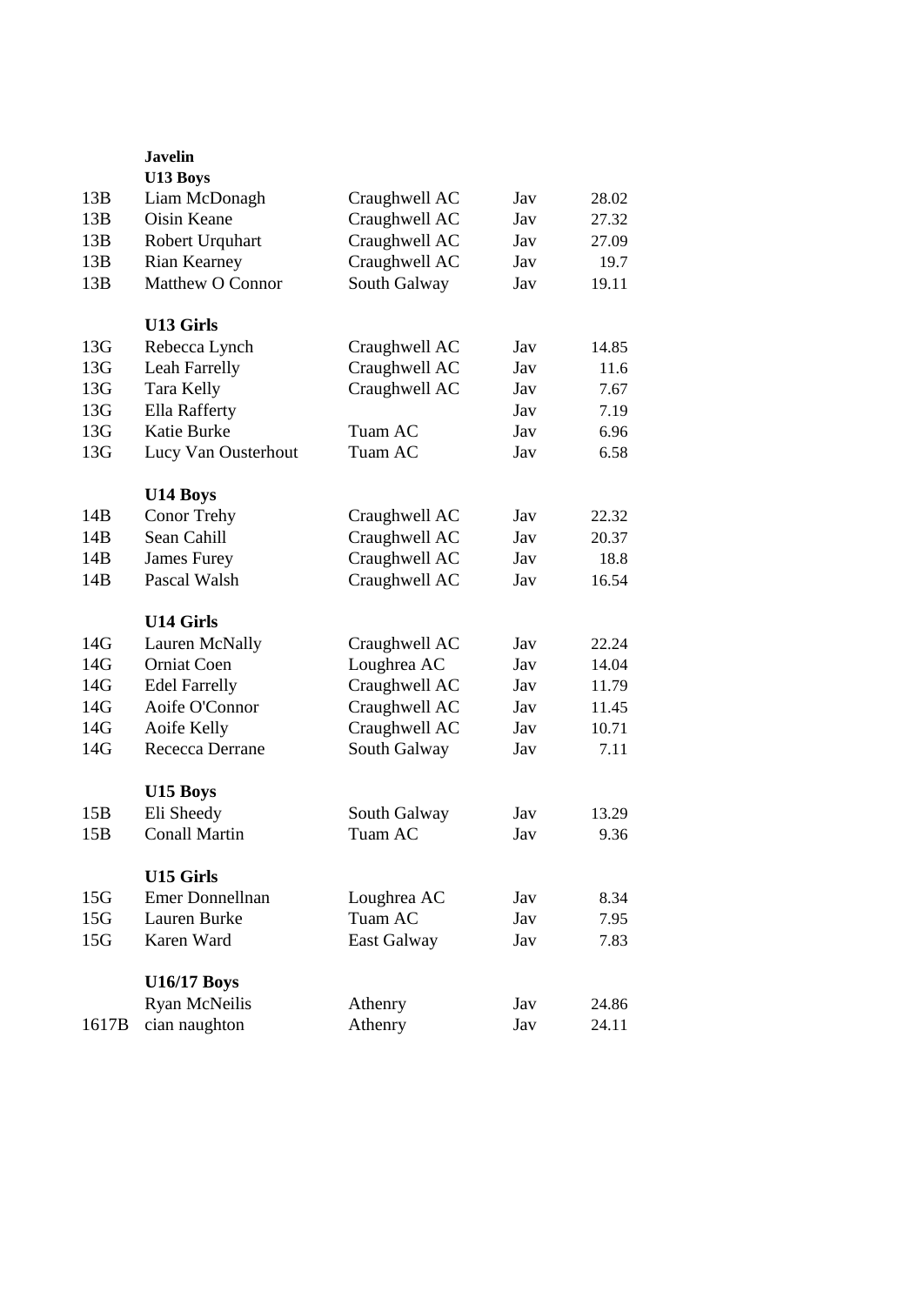|       | <b>Javelin</b><br>U13 Boys |               |     |       |  |
|-------|----------------------------|---------------|-----|-------|--|
| 13B   | Liam McDonagh              | Craughwell AC | Jav | 28.02 |  |
| 13B   | Oisin Keane                | Craughwell AC | Jav | 27.32 |  |
| 13B   | Robert Urquhart            | Craughwell AC | Jav | 27.09 |  |
| 13B   | <b>Rian Kearney</b>        | Craughwell AC | Jav | 19.7  |  |
| 13B   | <b>Matthew O Connor</b>    | South Galway  | Jav | 19.11 |  |
|       |                            |               |     |       |  |
|       | <b>U13 Girls</b>           |               |     |       |  |
| 13G   | Rebecca Lynch              | Craughwell AC | Jav | 14.85 |  |
| 13G   | Leah Farrelly              | Craughwell AC | Jav | 11.6  |  |
| 13G   | Tara Kelly                 | Craughwell AC | Jav | 7.67  |  |
| 13G   | Ella Rafferty              |               | Jav | 7.19  |  |
| 13G   | Katie Burke                | Tuam AC       | Jav | 6.96  |  |
| 13G   | Lucy Van Ousterhout        | Tuam AC       | Jav | 6.58  |  |
|       |                            |               |     |       |  |
|       | U14 Boys                   |               |     |       |  |
| 14B   | Conor Trehy                | Craughwell AC | Jav | 22.32 |  |
| 14B   | Sean Cahill                | Craughwell AC | Jav | 20.37 |  |
| 14B   | James Furey                | Craughwell AC | Jav | 18.8  |  |
| 14B   | Pascal Walsh               | Craughwell AC | Jav | 16.54 |  |
|       |                            |               |     |       |  |
|       | <b>U14 Girls</b>           |               |     |       |  |
| 14G   | Lauren McNally             | Craughwell AC | Jav | 22.24 |  |
| 14G   | <b>Orniat Coen</b>         | Loughrea AC   | Jav | 14.04 |  |
| 14G   | <b>Edel Farrelly</b>       | Craughwell AC | Jav | 11.79 |  |
| 14G   | Aoife O'Connor             | Craughwell AC | Jav | 11.45 |  |
| 14G   | Aoife Kelly                | Craughwell AC | Jav | 10.71 |  |
| 14G   | Rececca Derrane            | South Galway  | Jav | 7.11  |  |
|       |                            |               |     |       |  |
|       | U15 Boys                   |               |     |       |  |
| 15B   | Eli Sheedy                 | South Galway  | Jav | 13.29 |  |
| 15B   | <b>Conall Martin</b>       | Tuam AC       | Jav | 9.36  |  |
|       |                            |               |     |       |  |
|       | U15 Girls                  |               |     |       |  |
| 15G   | <b>Emer Donnellnan</b>     | Loughrea AC   | Jav | 8.34  |  |
| 15G   | Lauren Burke               | Tuam AC       | Jav | 7.95  |  |
| 15G   | Karen Ward                 | East Galway   | Jav | 7.83  |  |
|       |                            |               |     |       |  |
|       | <b>U16/17 Boys</b>         |               |     |       |  |
|       | <b>Ryan McNeilis</b>       | Athenry       | Jav | 24.86 |  |
| 1617B | cian naughton              | Athenry       | Jav | 24.11 |  |